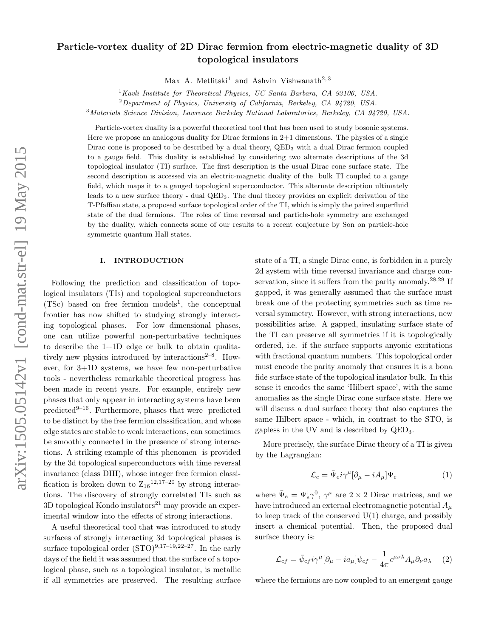# $arXiv:1505.05142v1$  [cond-mat.str-el] 19 May 2015 arXiv:1505.05142v1 [cond-mat.str-el] 19 May 2015

# Particle-vortex duality of 2D Dirac fermion from electric-magnetic duality of 3D topological insulators

Max A. Metlitski<sup>1</sup> and Ashvin Vishwanath<sup>2, 3</sup>

 $1$ Kavli Institute for Theoretical Physics, UC Santa Barbara, CA 93106, USA.

 ${}^{2}$ Department of Physics, University of California, Berkeley, CA 94720, USA.

<sup>3</sup>Materials Science Division, Lawrence Berkeley National Laboratories, Berkeley, CA 94720, USA.

Particle-vortex duality is a powerful theoretical tool that has been used to study bosonic systems. Here we propose an analogous duality for Dirac fermions in 2+1 dimensions. The physics of a single Dirac cone is proposed to be described by a dual theory,  $QED<sub>3</sub>$  with a dual Dirac fermion coupled to a gauge field. This duality is established by considering two alternate descriptions of the 3d topological insulator (TI) surface. The first description is the usual Dirac cone surface state. The second description is accessed via an electric-magnetic duality of the bulk TI coupled to a gauge field, which maps it to a gauged topological superconductor. This alternate description ultimately leads to a new surface theory - dual QED3. The dual theory provides an explicit derivation of the T-Pfaffian state, a proposed surface topological order of the TI, which is simply the paired superfluid state of the dual fermions. The roles of time reversal and particle-hole symmetry are exchanged by the duality, which connects some of our results to a recent conjecture by Son on particle-hole symmetric quantum Hall states.

## I. INTRODUCTION

Following the prediction and classification of topological insulators (TIs) and topological superconductors  $(TSc)$  based on free fermion models<sup>1</sup>, the conceptual frontier has now shifted to studying strongly interacting topological phases. For low dimensional phases, one can utilize powerful non-perturbative techniques to describe the  $1+1D$  edge or bulk to obtain qualitatively new physics introduced by interactions<sup> $2-8$ </sup>. However, for 3+1D systems, we have few non-perturbative tools - nevertheless remarkable theoretical progress has been made in recent years. For example, entirely new phases that only appear in interacting systems have been predicted<sup>9–16</sup>. Furthermore, phases that were predicted to be distinct by the free fermion classification, and whose edge states are stable to weak interactions, can sometimes be smoothly connected in the presence of strong interactions. A striking example of this phenomen is provided by the 3d topological superconductors with time reversal invariance (class DIII), whose integer free fermion classification is broken down to  $Z_{16}^{12,17-20}$  by strong interactions. The discovery of strongly correlated TIs such as  $3D$  topological Kondo insulators<sup>21</sup> may provide an experimental window into the effects of strong interactions.

A useful theoretical tool that was introduced to study surfaces of strongly interacting 3d topological phases is surface topological order  $(STO)^{9,17-19,22-27}$ . In the early days of the field it was assumed that the surface of a topological phase, such as a topological insulator, is metallic if all symmetries are preserved. The resulting surface state of a TI, a single Dirac cone, is forbidden in a purely 2d system with time reversal invariance and charge conservation, since it suffers from the parity anomaly.<sup>28,29</sup> If gapped, it was generally assumed that the surface must break one of the protecting symmetries such as time reversal symmetry. However, with strong interactions, new possibilities arise. A gapped, insulating surface state of the TI can preserve all symmetries if it is topologically ordered, i.e. if the surface supports anyonic excitations with fractional quantum numbers. This topological order must encode the parity anomaly that ensures it is a bona fide surface state of the topological insulator bulk. In this sense it encodes the same 'Hilbert space', with the same anomalies as the single Dirac cone surface state. Here we will discuss a dual surface theory that also captures the same Hilbert space - which, in contrast to the STO, is gapless in the UV and is described by QED3.

More precisely, the surface Dirac theory of a TI is given by the Lagrangian:

$$
\mathcal{L}_e = \bar{\Psi}_e i \gamma^\mu [\partial_\mu - i A_\mu] \Psi_e \tag{1}
$$

where  $\bar{\Psi}_e = \Psi_e^{\dagger} \gamma^0$ ,  $\gamma^{\mu}$  are  $2 \times 2$  Dirac matrices, and we have introduced an external electromagnetic potential  $A_{\mu}$ to keep track of the conserved  $U(1)$  charge, and possibly insert a chemical potential. Then, the proposed dual surface theory is:

$$
\mathcal{L}_{cf} = \bar{\psi}_{cf} i\gamma^{\mu} [\partial_{\mu} - i a_{\mu}] \psi_{cf} - \frac{1}{4\pi} \epsilon^{\mu\nu\lambda} A_{\mu} \partial_{\nu} a_{\lambda} \quad (2)
$$

where the fermions are now coupled to an emergent gauge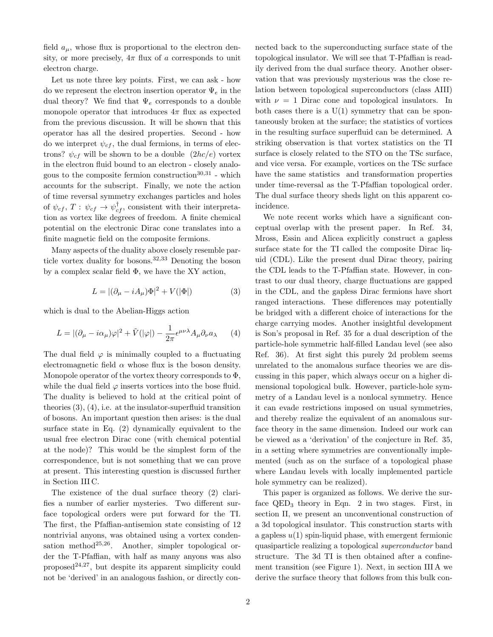field  $a_{\mu}$ , whose flux is proportional to the electron density, or more precisely,  $4\pi$  flux of a corresponds to unit electron charge.

Let us note three key points. First, we can ask - how do we represent the electron insertion operator  $\Psi_e$  in the dual theory? We find that  $\Psi_e$  corresponds to a double monopole operator that introduces  $4\pi$  flux as expected from the previous discussion. It will be shown that this operator has all the desired properties. Second - how do we interpret  $\psi_{cf}$ , the dual fermions, in terms of electrons?  $\psi_{cf}$  will be shown to be a double  $(2hc/e)$  vortex in the electron fluid bound to an electron - closely analogous to the composite fermion construction  $30,31$  - which accounts for the subscript. Finally, we note the action of time reversal symmetry exchanges particles and holes of  $\psi_{cf}$ ,  $T: \psi_{cf} \rightarrow \psi_{cf}^{\dagger}$ , consistent with their interpretation as vortex like degrees of freedom. A finite chemical potential on the electronic Dirac cone translates into a finite magnetic field on the composite fermions.

Many aspects of the duality above closely resemble particle vortex duality for bosons.<sup>32,33</sup> Denoting the boson by a complex scalar field Φ, we have the XY action,

$$
L = |(\partial_{\mu} - iA_{\mu})\Phi|^2 + V(|\Phi|)
$$
 (3)

which is dual to the Abelian-Higgs action

$$
L = |(\partial_{\mu} - i\alpha_{\mu})\varphi|^{2} + \tilde{V}(|\varphi|) - \frac{1}{2\pi} \epsilon^{\mu\nu\lambda} A_{\mu} \partial_{\nu} a_{\lambda} \qquad (4)
$$

The dual field  $\varphi$  is minimally coupled to a fluctuating electromagnetic field  $\alpha$  whose flux is the boson density. Monopole operator of the vortex theory corresponds to  $\Phi$ , while the dual field  $\varphi$  inserts vortices into the bose fluid. The duality is believed to hold at the critical point of theories  $(3)$ ,  $(4)$ , i.e. at the insulator-superfluid transition of bosons. An important question then arises: is the dual surface state in Eq. (2) dynamically equivalent to the usual free electron Dirac cone (with chemical potential at the node)? This would be the simplest form of the correspondence, but is not something that we can prove at present. This interesting question is discussed further in Section III C.

The existence of the dual surface theory (2) clarifies a number of earlier mysteries. Two different surface topological orders were put forward for the TI. The first, the Pfaffian-antisemion state consisting of 12 nontrivial anyons, was obtained using a vortex condensation method<sup>25,26</sup>. Another, simpler topological order the T-Pfaffian, with half as many anyons was also proposed<sup>24,27</sup>, but despite its apparent simplicity could not be 'derived' in an analogous fashion, or directly connected back to the superconducting surface state of the topological insulator. We will see that T-Pfaffian is readily derived from the dual surface theory. Another observation that was previously mysterious was the close relation between topological superconductors (class AIII) with  $\nu = 1$  Dirac cone and topological insulators. In both cases there is a  $U(1)$  symmetry that can be spontaneously broken at the surface; the statistics of vortices in the resulting surface superfluid can be determined. A striking observation is that vortex statistics on the TI surface is closely related to the STO on the TSc surface, and vice versa. For example, vortices on the TSc surface have the same statistics and transformation properties under time-reversal as the T-Pfaffian topological order. The dual surface theory sheds light on this apparent coincidence.

We note recent works which have a significant conceptual overlap with the present paper. In Ref. 34, Mross, Essin and Alicea explicitly construct a gapless surface state for the TI called the composite Dirac liquid (CDL). Like the present dual Dirac theory, pairing the CDL leads to the T-Pfaffian state. However, in contrast to our dual theory, charge fluctuations are gapped in the CDL, and the gapless Dirac fermions have short ranged interactions. These differences may potentially be bridged with a different choice of interactions for the charge carrying modes. Another insightful development is Son's proposal in Ref. 35 for a dual description of the particle-hole symmetric half-filled Landau level (see also Ref. 36). At first sight this purely 2d problem seems unrelated to the anomalous surface theories we are discussing in this paper, which always occur on a higher dimensional topological bulk. However, particle-hole symmetry of a Landau level is a nonlocal symmetry. Hence it can evade restrictions imposed on usual symmetries, and thereby realize the equivalent of an anomalous surface theory in the same dimension. Indeed our work can be viewed as a 'derivation' of the conjecture in Ref. 35, in a setting where symmetries are conventionally implemented (such as on the surface of a topological phase where Landau levels with locally implemented particle hole symmetry can be realized).

This paper is organized as follows. We derive the surface  $QED_3$  theory in Eqn. 2 in two stages. First, in section II, we present an unconventional construction of a 3d topological insulator. This construction starts with a gapless  $u(1)$  spin-liquid phase, with emergent fermionic quasiparticle realizing a topological superconductor band structure. The 3d TI is then obtained after a confinement transition (see Figure 1). Next, in section III A we derive the surface theory that follows from this bulk con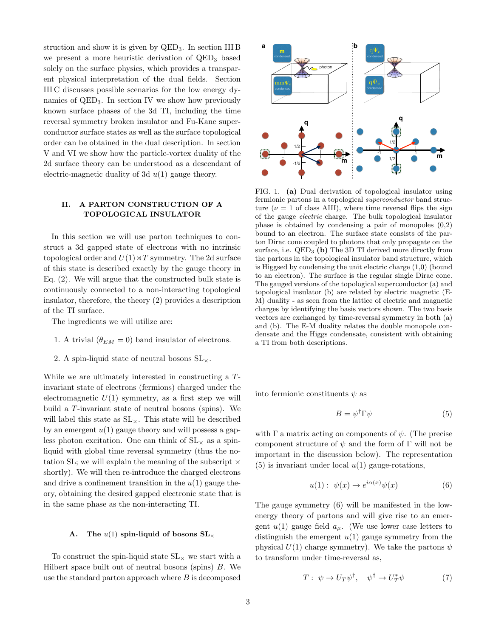struction and show it is given by  $QED_3$ . In section III B we present a more heuristic derivation of  $QED<sub>3</sub>$  based solely on the surface physics, which provides a transparent physical interpretation of the dual fields. Section III C discusses possible scenarios for the low energy dynamics of QED3. In section IV we show how previously known surface phases of the 3d TI, including the time reversal symmetry broken insulator and Fu-Kane superconductor surface states as well as the surface topological order can be obtained in the dual description. In section V and VI we show how the particle-vortex duality of the 2d surface theory can be understood as a descendant of electric-magnetic duality of 3d  $u(1)$  gauge theory.

# II. A PARTON CONSTRUCTION OF A TOPOLOGICAL INSULATOR

In this section we will use parton techniques to construct a 3d gapped state of electrons with no intrinsic topological order and  $U(1) \rtimes T$  symmetry. The 2d surface of this state is described exactly by the gauge theory in Eq. (2). We will argue that the constructed bulk state is continuously connected to a non-interacting topological insulator, therefore, the theory (2) provides a description of the TI surface.

The ingredients we will utilize are:

- 1. A trivial  $(\theta_{EM} = 0)$  band insulator of electrons.
- 2. A spin-liquid state of neutral bosons  $SL_{\times}$ .

While we are ultimately interested in constructing a Tinvariant state of electrons (fermions) charged under the electromagnetic  $U(1)$  symmetry, as a first step we will build a T-invariant state of neutral bosons (spins). We will label this state as  $SL_{\times}$ . This state will be described by an emergent  $u(1)$  gauge theory and will possess a gapless photon excitation. One can think of  $SL_{\times}$  as a spinliquid with global time reversal symmetry (thus the notation SL; we will explain the meaning of the subscript  $\times$ shortly). We will then re-introduce the charged electrons and drive a confinement transition in the  $u(1)$  gauge theory, obtaining the desired gapped electronic state that is in the same phase as the non-interacting TI.

### A. The  $u(1)$  spin-liquid of bosons  $SL_{\times}$

To construct the spin-liquid state  $\operatorname{SL}\nolimits_\times$  we start with a Hilbert space built out of neutral bosons (spins) B. We use the standard parton approach where  $B$  is decomposed



FIG. 1. (a) Dual derivation of topological insulator using fermionic partons in a topological superconductor band structure ( $\nu = 1$  of class AIII), where time reversal flips the sign of the gauge electric charge. The bulk topological insulator phase is obtained by condensing a pair of monopoles (0,2) bound to an electron. The surface state consists of the parton Dirac cone coupled to photons that only propagate on the surface, i.e.  $QED<sub>3</sub>$  (b) The 3D TI derived more directly from the partons in the topological insulator band structure, which is Higgsed by condensing the unit electric charge (1,0) (bound to an electron). The surface is the regular single Dirac cone. The gauged versions of the topological superconductor (a) and topological insulator (b) are related by electric magnetic (E-M) duality - as seen from the lattice of electric and magnetic charges by identifying the basis vectors shown. The two basis vectors are exchanged by time-reversal symmetry in both (a) and (b). The E-M duality relates the double monopole condensate and the Higgs condensate, consistent with obtaining a TI from both descriptions.

into fermionic constituents  $\psi$  as

$$
B = \psi^{\dagger} \Gamma \psi \tag{5}
$$

with  $\Gamma$  a matrix acting on components of  $\psi$ . (The precise component structure of  $\psi$  and the form of Γ will not be important in the discussion below). The representation (5) is invariant under local  $u(1)$  gauge-rotations,

$$
u(1): \psi(x) \to e^{i\alpha(x)}\psi(x) \tag{6}
$$

The gauge symmetry (6) will be manifested in the lowenergy theory of partons and will give rise to an emergent  $u(1)$  gauge field  $a_{\mu}$ . (We use lower case letters to distinguish the emergent  $u(1)$  gauge symmetry from the physical  $U(1)$  charge symmetry). We take the partons  $\psi$ to transform under time-reversal as,

$$
T: \psi \to U_T \psi^{\dagger}, \quad \psi^{\dagger} \to U_T^* \psi \tag{7}
$$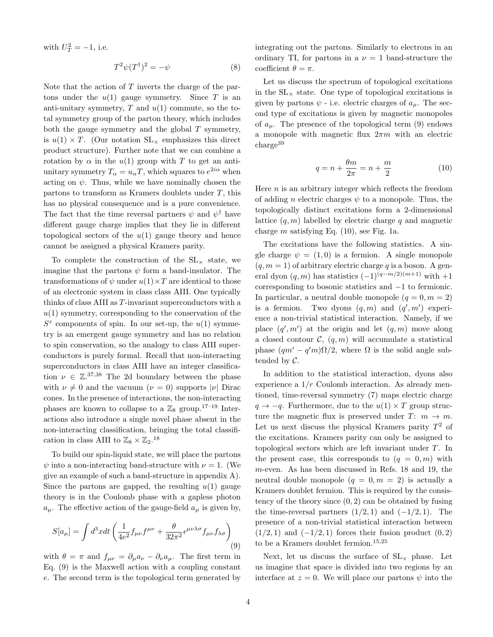with  $U_T^2 = -1$ , i.e.

$$
T^2\psi(T^{\dagger})^2 = -\psi \tag{8}
$$

Note that the action of  $T$  inverts the charge of the partons under the  $u(1)$  gauge symmetry. Since T is an anti-unitary symmetry,  $T$  and  $u(1)$  commute, so the total symmetry group of the parton theory, which includes both the gauge symmetry and the global  $T$  symmetry, is  $u(1) \times T$ . (Our notation  $SL_{\times}$  emphasizes this direct product structure). Further note that we can combine a rotation by  $\alpha$  in the  $u(1)$  group with T to get an antiunitary symmetry  $T_{\alpha} = u_{\alpha}T$ , which squares to  $e^{2i\alpha}$  when acting on  $\psi$ . Thus, while we have nominally chosen the partons to transform as Kramers doublets under T, this has no physical consequence and is a pure convenience. The fact that the time reversal partners  $\psi$  and  $\psi^{\dagger}$  have different gauge charge implies that they lie in different topological sectors of the  $u(1)$  gauge theory and hence cannot be assigned a physical Kramers parity.

To complete the construction of the  $SL_{\times}$  state, we imagine that the partons  $\psi$  form a band-insulator. The transformations of  $\psi$  under  $u(1) \times T$  are identical to those of an electronic system in class class AIII. One typically thinks of class AIII as T-invariant superconductors with a  $u(1)$  symmetry, corresponding to the conservation of the  $S^z$  components of spin. In our set-up, the  $u(1)$  symmetry is an emergent gauge symmetry and has no relation to spin conservation, so the analogy to class AIII superconductors is purely formal. Recall that non-interacting superconductors in class AIII have an integer classification  $\nu \in \mathbb{Z}^{37,38}$  The 2d boundary between the phase with  $\nu \neq 0$  and the vacuum  $(\nu = 0)$  supports  $|\nu|$  Dirac cones. In the presence of interactions, the non-interacting phases are known to collapse to a  $\mathbb{Z}_8$  group.<sup>17–19</sup> Interactions also introduce a single novel phase absent in the non-interacting classification, bringing the total classification in class AIII to  $\mathbb{Z}_8 \times \mathbb{Z}_2$ .<sup>18</sup>

To build our spin-liquid state, we will place the partons  $\psi$  into a non-interacting band-structure with  $\nu = 1$ . (We give an example of such a band-structure in appendix A). Since the partons are gapped, the resulting  $u(1)$  gauge theory is in the Coulomb phase with a gapless photon  $a_{\mu}$ . The effective action of the gauge-field  $a_{\mu}$  is given by,

$$
S[a_{\mu}] = \int d^3x dt \left( \frac{1}{4e^2} f_{\mu\nu} f^{\mu\nu} + \frac{\theta}{32\pi^2} \epsilon^{\mu\nu\lambda\sigma} f_{\mu\nu} f_{\lambda\sigma} \right) \tag{9}
$$

with  $\theta = \pi$  and  $f_{\mu\nu} = \partial_{\mu} a_{\nu} - \partial_{\nu} a_{\mu}$ . The first term in Eq. (9) is the Maxwell action with a coupling constant e. The second term is the topological term generated by integrating out the partons. Similarly to electrons in an ordinary TI, for partons in a  $\nu = 1$  band-structure the coefficient  $\theta = \pi$ .

Let us discuss the spectrum of topological excitations in the  $SL_{\times}$  state. One type of topological excitations is given by partons  $\psi$  - i.e. electric charges of  $a_{\mu}$ . The second type of excitations is given by magnetic monopoles of  $a_{\mu}$ . The presence of the topological term (9) endows a monopole with magnetic flux  $2\pi m$  with an electric  $charge<sup>39</sup>$ 

$$
q = n + \frac{\theta m}{2\pi} = n + \frac{m}{2} \tag{10}
$$

Here  $n$  is an arbitrary integer which reflects the freedom of adding *n* electric charges  $\psi$  to a monopole. Thus, the topologically distinct excitations form a 2-dimensional lattice  $(q, m)$  labelled by electric charge q and magnetic charge m satisfying Eq.  $(10)$ , see Fig. 1a.

The excitations have the following statistics. A single charge  $\psi = (1, 0)$  is a fermion. A single monopole  $(q, m = 1)$  of arbitrary electric charge q is a boson. A general dyon  $(q, m)$  has statistics  $(-1)^{(q-m/2)(m+1)}$  with  $+1$ corresponding to bosonic statistics and −1 to fermionic. In particular, a neutral double monopole  $(q = 0, m = 2)$ is a fermion. Two dyons  $(q, m)$  and  $(q', m')$  experience a non-trivial statistical interaction. Namely, if we place  $(q', m')$  at the origin and let  $(q, m)$  move along a closed contour  $\mathcal{C}, (q, m)$  will accumulate a statistical phase  $(qm' - q'm)\Omega/2$ , where  $\Omega$  is the solid angle subtended by C.

In addition to the statistical interaction, dyons also experience a  $1/r$  Coulomb interaction. As already mentioned, time-reversal symmetry (7) maps electric charge  $q \rightarrow -q$ . Furthermore, due to the  $u(1) \times T$  group structure the magnetic flux is preserved under  $T: m \to m$ . Let us next discuss the physical Kramers parity  $T^2$  of the excitations. Kramers parity can only be assigned to topological sectors which are left invariant under T. In the present case, this corresponds to  $(q = 0, m)$  with m-even. As has been discussed in Refs. 18 and 19, the neutral double monopole  $(q = 0, m = 2)$  is actually a Kramers doublet fermion. This is required by the consistency of the theory since  $(0, 2)$  can be obtained by fusing the time-reversal partners  $(1/2, 1)$  and  $(-1/2, 1)$ . The presence of a non-trivial statistical interaction between  $(1/2, 1)$  and  $(-1/2, 1)$  forces their fusion product  $(0, 2)$ to be a Kramers doublet fermion.<sup>15,25</sup>

Next, let us discuss the surface of  $SL_{\times}$  phase. Let us imagine that space is divided into two regions by an interface at  $z = 0$ . We will place our partons  $\psi$  into the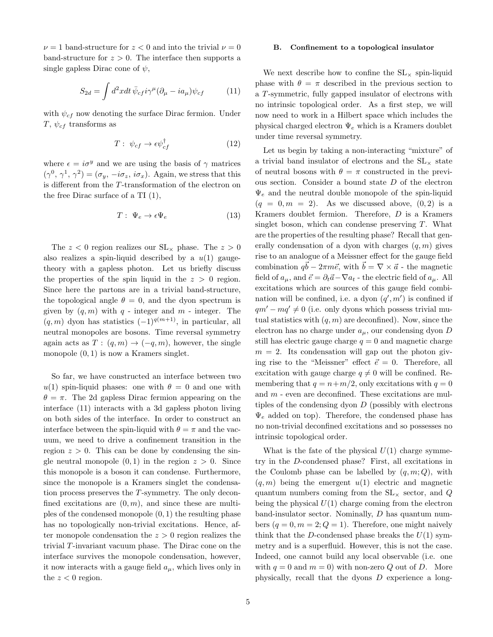$\nu = 1$  band-structure for  $z < 0$  and into the trivial  $\nu = 0$ band-structure for  $z > 0$ . The interface then supports a single gapless Dirac cone of  $\psi$ ,

$$
S_{2d} = \int d^2x dt \,\bar{\psi}_{cf} i\gamma^{\mu} (\partial_{\mu} - ia_{\mu}) \psi_{cf} \tag{11}
$$

with  $\psi_{cf}$  now denoting the surface Dirac fermion. Under T,  $\psi_{cf}$  transforms as

$$
T: \psi_{cf} \to \epsilon \psi_{cf}^{\dagger} \tag{12}
$$

where  $\epsilon = i\sigma^y$  and we are using the basis of  $\gamma$  matrices  $(\gamma^0, \gamma^1, \gamma^2) = (\sigma_y, -i\sigma_z, i\sigma_x)$ . Again, we stress that this is different from the T-transformation of the electron on the free Dirac surface of a TI (1),

$$
T: \Psi_e \to \epsilon \Psi_e \tag{13}
$$

The  $z < 0$  region realizes our  $SL_{\times}$  phase. The  $z > 0$ also realizes a spin-liquid described by a  $u(1)$  gaugetheory with a gapless photon. Let us briefly discuss the properties of the spin liquid in the  $z > 0$  region. Since here the partons are in a trivial band-structure, the topological angle  $\theta = 0$ , and the dyon spectrum is given by  $(q, m)$  with q - integer and m - integer. The  $(q, m)$  dyon has statistics  $(-1)^{q(m+1)}$ , in particular, all neutral monopoles are bosons. Time reversal symmetry again acts as  $T: (q, m) \to (-q, m)$ , however, the single monopole  $(0, 1)$  is now a Kramers singlet.

So far, we have constructed an interface between two  $u(1)$  spin-liquid phases: one with  $\theta = 0$  and one with  $\theta = \pi$ . The 2d gapless Dirac fermion appearing on the interface (11) interacts with a 3d gapless photon living on both sides of the interface. In order to construct an interface between the spin-liquid with  $\theta = \pi$  and the vacuum, we need to drive a confinement transition in the region  $z > 0$ . This can be done by condensing the single neutral monopole  $(0, 1)$  in the region  $z > 0$ . Since this monopole is a boson it can condense. Furthermore, since the monopole is a Kramers singlet the condensation process preserves the T-symmetry. The only deconfined excitations are  $(0, m)$ , and since these are multiples of the condensed monopole  $(0, 1)$  the resulting phase has no topologically non-trivial excitations. Hence, after monopole condensation the  $z > 0$  region realizes the trivial T-invariant vacuum phase. The Dirac cone on the interface survives the monopole condensation, however, it now interacts with a gauge field  $a_{\mu}$ , which lives only in the  $z < 0$  region.

### B. Confinement to a topological insulator

We next describe how to confine the  $SL_{\times}$  spin-liquid phase with  $\theta = \pi$  described in the previous section to a T-symmetric, fully gapped insulator of electrons with no intrinsic topological order. As a first step, we will now need to work in a Hilbert space which includes the physical charged electron  $\Psi_e$  which is a Kramers doublet under time reversal symmetry.

Let us begin by taking a non-interacting "mixture" of a trivial band insulator of electrons and the  $SL_{\times}$  state of neutral bosons with  $\theta = \pi$  constructed in the previous section. Consider a bound state D of the electron  $\Psi_e$  and the neutral double monopole of the spin-liquid  $(q = 0, m = 2)$ . As we discussed above,  $(0, 2)$  is a Kramers doublet fermion. Therefore, D is a Kramers singlet boson, which can condense preserving  $T$ . What are the properties of the resulting phase? Recall that generally condensation of a dyon with charges  $(q, m)$  gives rise to an analogue of a Meissner effect for the gauge field combination  $q\vec{b} - 2\pi m\vec{e}$ , with  $\vec{b} = \nabla \times \vec{a}$  - the magnetic field of  $a_{\mu}$ , and  $\vec{e} = \partial_t \vec{a} - \nabla a_t$  - the electric field of  $a_{\mu}$ . All excitations which are sources of this gauge field combination will be confined, i.e. a dyon  $(q', m')$  is confined if  $qm'-mq'\neq 0$  (i.e. only dyons which possess trivial mutual statistics with  $(q, m)$  are deconfined). Now, since the electron has no charge under  $a_{\mu}$ , our condensing dyon D still has electric gauge charge  $q = 0$  and magnetic charge  $m = 2$ . Its condensation will gap out the photon giving rise to the "Meissner" effect  $\vec{e} = 0$ . Therefore, all excitation with gauge charge  $q \neq 0$  will be confined. Remembering that  $q = n+m/2$ , only excitations with  $q = 0$ and  $m$  - even are deconfined. These excitations are multiples of the condensing dyon  $D$  (possibly with electrons  $\Psi_e$  added on top). Therefore, the condensed phase has no non-trivial deconfined excitations and so possesses no intrinsic topological order.

What is the fate of the physical  $U(1)$  charge symmetry in the D-condensed phase? First, all excitations in the Coulomb phase can be labelled by  $(q, m; Q)$ , with  $(q, m)$  being the emergent  $u(1)$  electric and magnetic quantum numbers coming from the  $SL_{\times}$  sector, and Q being the physical  $U(1)$  charge coming from the electron band-insulator sector. Nominally, D has quantum numbers  $(q = 0, m = 2; Q = 1)$ . Therefore, one might naively think that the D-condensed phase breaks the  $U(1)$  symmetry and is a superfluid. However, this is not the case. Indeed, one cannot build any local observable (i.e. one with  $q = 0$  and  $m = 0$ ) with non-zero Q out of D. More physically, recall that the dyons D experience a long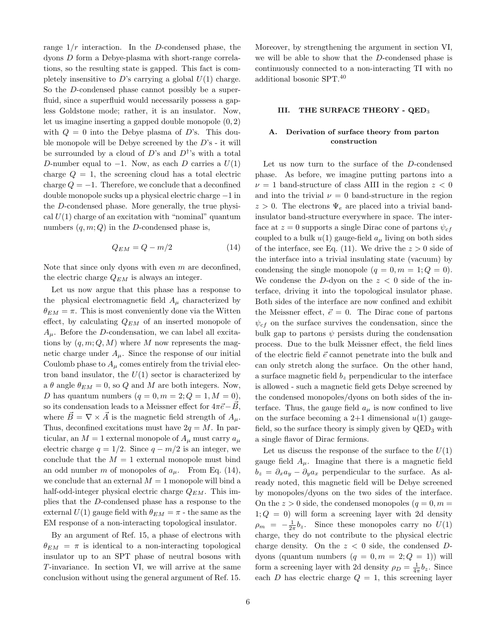range  $1/r$  interaction. In the D-condensed phase, the dyons D form a Debye-plasma with short-range correlations, so the resulting state is gapped. This fact is completely insensitive to D's carrying a global  $U(1)$  charge. So the D-condensed phase cannot possibly be a superfluid, since a superfluid would necessarily possess a gapless Goldstone mode; rather, it is an insulator. Now, let us imagine inserting a gapped double monopole (0, 2) with  $Q = 0$  into the Debye plasma of D's. This double monopole will be Debye screened by the D's - it will be surrounded by a cloud of D's and  $D^{\dagger}$ 's with a total D-number equal to  $-1$ . Now, as each D carries a  $U(1)$ charge  $Q = 1$ , the screening cloud has a total electric charge  $Q = -1$ . Therefore, we conclude that a deconfined double monopole sucks up a physical electric charge −1 in the D-condensed phase. More generally, the true physical  $U(1)$  charge of an excitation with "nominal" quantum numbers  $(q, m; Q)$  in the D-condensed phase is,

$$
Q_{EM} = Q - m/2 \tag{14}
$$

Note that since only dyons with even  $m$  are deconfined, the electric charge  $Q_{EM}$  is always an integer.

Let us now argue that this phase has a response to the physical electromagnetic field  $A_\mu$  characterized by  $\theta_{EM} = \pi$ . This is most conveniently done via the Witten effect, by calculating  $Q_{EM}$  of an inserted monopole of  $A_{\mu}$ . Before the *D*-condensation, we can label all excitations by  $(q, m; Q, M)$  where M now represents the magnetic charge under  $A_\mu$ . Since the response of our initial Coulomb phase to  $A<sub>u</sub>$  comes entirely from the trivial electron band insulator, the  $U(1)$  sector is characterized by a  $\theta$  angle  $\theta_{EM} = 0$ , so Q and M are both integers. Now, D has quantum numbers  $(q = 0, m = 2; Q = 1, M = 0)$ , so its condensation leads to a Meissner effect for  $4\pi\vec{e}-\vec{B}$ , where  $\vec{B} = \nabla \times \vec{A}$  is the magnetic field strength of  $A_{\mu}$ . Thus, deconfined excitations must have  $2q = M$ . In particular, an  $M = 1$  external monopole of  $A_\mu$  must carry  $a_\mu$ electric charge  $q = 1/2$ . Since  $q - m/2$  is an integer, we conclude that the  $M = 1$  external monopole must bind an odd number m of monopoles of  $a_{\mu}$ . From Eq. (14), we conclude that an external  $M = 1$  monopole will bind a half-odd-integer physical electric charge  $Q_{EM}$ . This implies that the D-condensed phase has a response to the external  $U(1)$  gauge field with  $\theta_{EM} = \pi$  - the same as the EM response of a non-interacting topological insulator.

By an argument of Ref. 15, a phase of electrons with  $\theta_{EM} = \pi$  is identical to a non-interacting topological insulator up to an SPT phase of neutral bosons with T-invariance. In section VI, we will arrive at the same conclusion without using the general argument of Ref. 15.

Moreover, by strengthening the argument in section VI, we will be able to show that the D-condensed phase is continuously connected to a non-interacting TI with no additional bosonic SPT.<sup>40</sup>

# III. THE SURFACE THEORY - QED<sup>3</sup>

# A. Derivation of surface theory from parton construction

Let us now turn to the surface of the D-condensed phase. As before, we imagine putting partons into a  $\nu = 1$  band-structure of class AIII in the region  $z < 0$ and into the trivial  $\nu = 0$  band-structure in the region  $z > 0$ . The electrons  $\Psi_e$  are placed into a trivial bandinsulator band-structure everywhere in space. The interface at  $z = 0$  supports a single Dirac cone of partons  $\psi_{cf}$ coupled to a bulk  $u(1)$  gauge-field  $a_{\mu}$  living on both sides of the interface, see Eq. (11). We drive the  $z > 0$  side of the interface into a trivial insulating state (vacuum) by condensing the single monopole  $(q = 0, m = 1; Q = 0)$ . We condense the D-dyon on the  $z < 0$  side of the interface, driving it into the topological insulator phase. Both sides of the interface are now confined and exhibit the Meissner effect,  $\vec{e} = 0$ . The Dirac cone of partons  $\psi_{cf}$  on the surface survives the condensation, since the bulk gap to partons  $\psi$  persists during the condensation process. Due to the bulk Meissner effect, the field lines of the electric field  $\vec{e}$  cannot penetrate into the bulk and can only stretch along the surface. On the other hand, a surface magnetic field  $b_z$  perpendicular to the interface is allowed - such a magnetic field gets Debye screened by the condensed monopoles/dyons on both sides of the interface. Thus, the gauge field  $a_{\mu}$  is now confined to live on the surface becoming a 2+1 dimensional  $u(1)$  gaugefield, so the surface theory is simply given by  $QED<sub>3</sub>$  with a single flavor of Dirac fermions.

Let us discuss the response of the surface to the  $U(1)$ gauge field  $A_{\mu}$ . Imagine that there is a magnetic field  $b_z = \partial_x a_y - \partial_y a_x$  perpendicular to the surface. As already noted, this magnetic field will be Debye screened by monopoles/dyons on the two sides of the interface. On the  $z > 0$  side, the condensed monopoles  $(q = 0, m = 1)$  $1; Q = 0$ ) will form a screening layer with 2d density  $\rho_m = -\frac{1}{2\pi}b_z$ . Since these monopoles carry no  $U(1)$ charge, they do not contribute to the physical electric charge density. On the  $z < 0$  side, the condensed Ddyons (quantum numbers  $(q = 0, m = 2; Q = 1)$ ) will form a screening layer with 2d density  $\rho_D = \frac{1}{4\pi} b_z$ . Since each D has electric charge  $Q = 1$ , this screening layer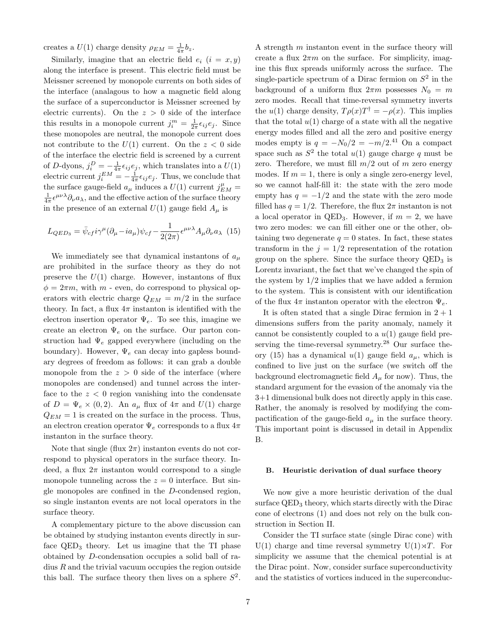creates a  $U(1)$  charge density  $\rho_{EM} = \frac{1}{4\pi} b_z$ .

Similarly, imagine that an electric field  $e_i$   $(i = x, y)$ along the interface is present. This electric field must be Meissner screened by monopole currents on both sides of the interface (analagous to how a magnetic field along the surface of a superconductor is Meissner screened by electric currents). On the  $z > 0$  side of the interface this results in a monopole current  $j_i^m = \frac{1}{2\pi} \epsilon_{ij} e_j$ . Since these monopoles are neutral, the monopole current does not contribute to the  $U(1)$  current. On the  $z < 0$  side of the interface the electric field is screened by a current of D-dyons,  $j_i^D = -\frac{1}{4\pi} \epsilon_{ij} e_j$ , which translates into a  $U(1)$ electric current  $j_i^{EM} = -\frac{1}{4\pi} \epsilon_{ij} e_j$ . Thus, we conclude that the surface gauge-field  $a_{\mu}$  induces a  $U(1)$  current  $j_{EM}^{\mu}$  =  $\frac{1}{4\pi} \epsilon^{\mu\nu\lambda} \partial_{\nu} a_{\lambda}$ , and the effective action of the surface theory in the presence of an external  $U(1)$  gauge field  $A_\mu$  is

$$
L_{QED_3} = \bar{\psi}_{cf} i\gamma^{\mu} (\partial_{\mu} - ia_{\mu}) \psi_{cf} - \frac{1}{2(2\pi)} \epsilon^{\mu\nu\lambda} A_{\mu} \partial_{\nu} a_{\lambda} \tag{15}
$$

We immediately see that dynamical instantons of  $a_{\mu}$ are prohibited in the surface theory as they do not preserve the  $U(1)$  charge. However, instantons of flux  $\phi = 2\pi m$ , with m - even, do correspond to physical operators with electric charge  $Q_{EM} = m/2$  in the surface theory. In fact, a flux  $4\pi$  instanton is identified with the electron insertion operator  $\Psi_e$ . To see this, imagine we create an electron  $\Psi_e$  on the surface. Our parton construction had  $\Psi_e$  gapped everywhere (including on the boundary). However,  $\Psi_e$  can decay into gapless boundary degrees of freedom as follows: it can grab a double monopole from the  $z > 0$  side of the interface (where monopoles are condensed) and tunnel across the interface to the  $z < 0$  region vanishing into the condensate of  $D = \Psi_e \times (0, 2)$ . An  $a_\mu$  flux of  $4\pi$  and  $U(1)$  charge  $Q_{EM} = 1$  is created on the surface in the process. Thus, an electron creation operator  $\Psi_e$  corresponds to a flux  $4\pi$ instanton in the surface theory.

Note that single (flux  $2\pi$ ) instanton events do not correspond to physical operators in the surface theory. Indeed, a flux  $2\pi$  instanton would correspond to a single monopole tunneling across the  $z = 0$  interface. But single monopoles are confined in the D-condensed region, so single instanton events are not local operators in the surface theory.

A complementary picture to the above discussion can be obtained by studying instanton events directly in surface  $QED_3$  theory. Let us imagine that the TI phase obtained by D-condensation occupies a solid ball of radius  $R$  and the trivial vacuum occupies the region outside this ball. The surface theory then lives on a sphere  $S^2$ .

A strength m instanton event in the surface theory will create a flux  $2\pi m$  on the surface. For simplicity, imagine this flux spreads uniformly across the surface. The single-particle spectrum of a Dirac fermion on  $S^2$  in the background of a uniform flux  $2\pi m$  possesses  $N_0 = m$ zero modes. Recall that time-reversal symmetry inverts the  $u(1)$  charge density,  $T\rho(x)T^{\dagger} = -\rho(x)$ . This implies that the total  $u(1)$  charge of a state with all the negative energy modes filled and all the zero and positive energy modes empty is  $q = -N_0/2 = -m/2^{41}$  On a compact space such as  $S^2$  the total  $u(1)$  gauge charge q must be zero. Therefore, we must fill  $m/2$  out of m zero energy modes. If  $m = 1$ , there is only a single zero-energy level, so we cannot half-fill it: the state with the zero mode empty has  $q = -1/2$  and the state with the zero mode filled has  $q = 1/2$ . Therefore, the flux  $2\pi$  instanton is not a local operator in QED<sub>3</sub>. However, if  $m = 2$ , we have two zero modes: we can fill either one or the other, obtaining two degenerate  $q = 0$  states. In fact, these states transform in the  $j = 1/2$  representation of the rotation group on the sphere. Since the surface theory  $QED<sub>3</sub>$  is Lorentz invariant, the fact that we've changed the spin of the system by  $1/2$  implies that we have added a fermion to the system. This is consistent with our identification of the flux  $4\pi$  instanton operator with the electron  $\Psi_e$ .

It is often stated that a single Dirac fermion in  $2 + 1$ dimensions suffers from the parity anomaly, namely it cannot be consistently coupled to a  $u(1)$  gauge field preserving the time-reversal symmetry.<sup>28</sup> Our surface theory (15) has a dynamical  $u(1)$  gauge field  $a_{\mu}$ , which is confined to live just on the surface (we switch off the background electromagnetic field  $A<sub>u</sub>$  for now). Thus, the standard argument for the evasion of the anomaly via the 3+1 dimensional bulk does not directly apply in this case. Rather, the anomaly is resolved by modifying the compactification of the gauge-field  $a_{\mu}$  in the surface theory. This important point is discussed in detail in Appendix B.

### B. Heuristic derivation of dual surface theory

We now give a more heuristic derivation of the dual surface  $QED<sub>3</sub>$  theory, which starts directly with the Dirac cone of electrons (1) and does not rely on the bulk construction in Section II.

Consider the TI surface state (single Dirac cone) with U(1) charge and time reversal symmetry U(1) $\forall T$ . For simplicity we assume that the chemical potential is at the Dirac point. Now, consider surface superconductivity and the statistics of vortices induced in the superconduc-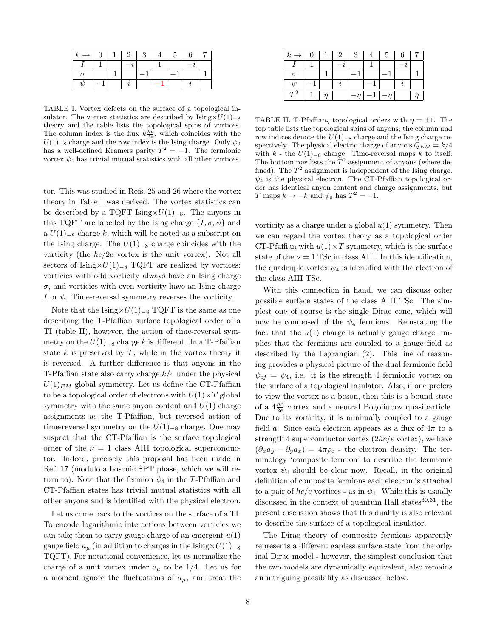| $k \rightarrow 1$ | $\left( \right)$ |  | $2 \perp 3$ | 5 <sub>1</sub> |  |
|-------------------|------------------|--|-------------|----------------|--|
|                   |                  |  |             |                |  |
|                   |                  |  |             |                |  |
| $\eta$            |                  |  |             |                |  |

TABLE I. Vortex defects on the surface of a topological insulator. The vortex statistics are described by  $\text{Ising} \times U(1)_{-8}$ theory and the table lists the topological spins of vortices. The column index is the flux  $k\frac{hc}{2e}$ , which coincides with the  $U(1)$ –8 charge and the row index is the Ising charge. Only  $\psi_0$ has a well-defined Kramers parity  $T^2 = -1$ . The fermionic vortex  $\psi_4$  has trivial mutual statistics with all other vortices.

tor. This was studied in Refs. 25 and 26 where the vortex theory in Table I was derived. The vortex statistics can be described by a TQFT Ising× $U(1)_{-8}$ . The anyons in this TQFT are labelled by the Ising charge  $\{I, \sigma, \psi\}$  and a  $U(1)$ <sub>-8</sub> charge k, which will be noted as a subscript on the Ising charge. The  $U(1)_{-8}$  charge coincides with the vorticity (the  $hc/2e$  vortex is the unit vortex). Not all sectors of Ising× $U(1)_{-8}$  TQFT are realized by vortices: vorticies with odd vorticity always have an Ising charge  $\sigma$ , and vorticies with even vorticity have an Ising charge I or  $\psi$ . Time-reversal symmetry reverses the vorticity.

Note that the Ising× $U(1)_{-8}$  TQFT is the same as one describing the T-Pfaffian surface topological order of a TI (table II), however, the action of time-reversal symmetry on the  $U(1)_{-8}$  charge k is different. In a T-Pfaffian state  $k$  is preserved by  $T$ , while in the vortex theory it is reversed. A further difference is that anyons in the T-Pfaffian state also carry charge  $k/4$  under the physical  $U(1)_{EM}$  global symmetry. Let us define the CT-Pfaffian to be a topological order of electrons with  $U(1) \times T$  global symmetry with the same anyon content and  $U(1)$  charge assignments as the T-Pfaffian, but reversed action of time-reversal symmetry on the  $U(1)_{-8}$  charge. One may suspect that the CT-Pfaffian is the surface topological order of the  $\nu = 1$  class AIII topological superconductor. Indeed, precisely this proposal has been made in Ref. 17 (modulo a bosonic SPT phase, which we will return to). Note that the fermion  $\psi_4$  in the T-Pfaffian and CT-Pfaffian states has trivial mutual statistics with all other anyons and is identified with the physical electron.

Let us come back to the vortices on the surface of a TI. To encode logarithmic interactions between vorticies we can take them to carry gauge charge of an emergent  $u(1)$ gauge field  $a_\mu$  (in addition to charges in the Ising× $U(1)_{-8}$ TQFT). For notational convenience, let us normalize the charge of a unit vortex under  $a_{\mu}$  to be 1/4. Let us for a moment ignore the fluctuations of  $a_{\mu}$ , and treat the

TABLE II. T-Pfaffian<sub>n</sub> topological orders with  $\eta = \pm 1$ . The top table lists the topological spins of anyons; the column and row indices denote the  $U(1)_{-8}$  charge and the Ising charge respectively. The physical electric charge of anyons  $Q_{EM} = k/4$ with  $k$  - the  $U(1)$ <sub>-8</sub> charge. Time-reversal maps  $k$  to itself. The bottom row lists the  $T^2$  assignment of anyons (where defined). The  $T^2$  assignment is independent of the Ising charge.  $\psi_4$  is the physical electron. The CT-Pfaffian topological order has identical anyon content and charge assignments, but T maps  $k \to -k$  and  $\psi_0$  has  $T^2 = -1$ .

vorticity as a charge under a global  $u(1)$  symmetry. Then we can regard the vortex theory as a topological order CT-Pfaffian with  $u(1) \times T$  symmetry, which is the surface state of the  $\nu = 1$  TSc in class AIII. In this identification, the quadruple vortex  $\psi_4$  is identified with the electron of the class AIII TSc.

With this connection in hand, we can discuss other possible surface states of the class AIII TSc. The simplest one of course is the single Dirac cone, which will now be composed of the  $\psi_4$  fermions. Reinstating the fact that the  $u(1)$  charge is actually gauge charge, implies that the fermions are coupled to a gauge field as described by the Lagrangian (2). This line of reasoning provides a physical picture of the dual fermionic field  $\psi_{cf} = \psi_4$ , i.e. it is the strength 4 fermionic vortex on the surface of a topological insulator. Also, if one prefers to view the vortex as a boson, then this is a bound state of a  $4\frac{hc}{2e}$  vortex and a neutral Bogoliubov quasiparticle. Due to its vorticity, it is minimally coupled to a gauge field a. Since each electron appears as a flux of  $4\pi$  to a strength 4 superconductor vortex  $(2hc/e)$  vortex), we have  $(\partial_x a_y - \partial_y a_x) = 4\pi \rho_e$  - the electron density. The terminology 'composite fermion' to describe the fermionic vortex  $\psi_4$  should be clear now. Recall, in the original definition of composite fermions each electron is attached to a pair of  $hc/e$  vortices - as in  $\psi_4$ . While this is usually discussed in the context of quantum Hall states $30,31$ , the present discussion shows that this duality is also relevant to describe the surface of a topological insulator.

The Dirac theory of composite fermions apparently represents a different gapless surface state from the original Dirac model - however, the simplest conclusion that the two models are dynamically equivalent, also remains an intriguing possibility as discussed below.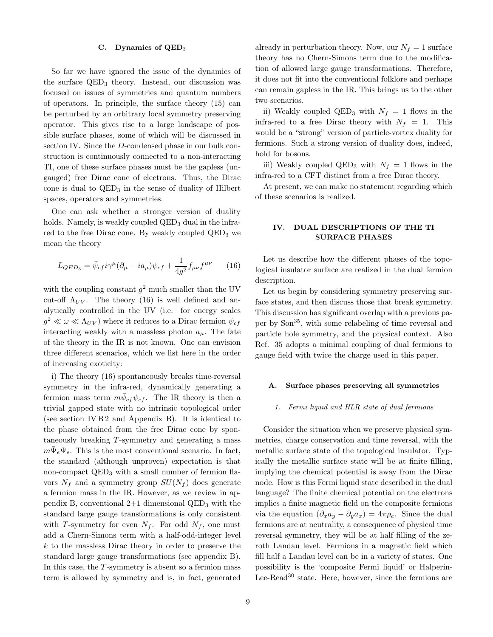### C. Dynamics of QED<sup>3</sup>

So far we have ignored the issue of the dynamics of the surface  $QED_3$  theory. Instead, our discussion was focused on issues of symmetries and quantum numbers of operators. In principle, the surface theory (15) can be perturbed by an orbitrary local symmetry preserving operator. This gives rise to a large landscape of possible surface phases, some of which will be discussed in section IV. Since the D-condensed phase in our bulk construction is continuously connected to a non-interacting TI, one of these surface phases must be the gapless (ungauged) free Dirac cone of electrons. Thus, the Dirac cone is dual to  $QED<sub>3</sub>$  in the sense of duality of Hilbert spaces, operators and symmetries.

One can ask whether a stronger version of duality holds. Namely, is weakly coupled  $QED<sub>3</sub>$  dual in the infrared to the free Dirac cone. By weakly coupled  $QED<sub>3</sub>$  we mean the theory

$$
L_{QED_3} = \bar{\psi}_{cf} i\gamma^{\mu} (\partial_{\mu} - ia_{\mu}) \psi_{cf} + \frac{1}{4g^2} f_{\mu\nu} f^{\mu\nu} \qquad (16)
$$

with the coupling constant  $g^2$  much smaller than the UV cut-off  $\Lambda_{UV}$ . The theory (16) is well defined and analytically controlled in the UV (i.e. for energy scales  $g^2 \ll \omega \ll \Lambda_{UV}$ ) where it reduces to a Dirac fermion  $\psi_{cf}$ interacting weakly with a massless photon  $a_{\mu}$ . The fate of the theory in the IR is not known. One can envision three different scenarios, which we list here in the order of increasing exoticity:

i) The theory (16) spontaneously breaks time-reversal symmetry in the infra-red, dynamically generating a fermion mass term  $m\bar{\psi}_{cf}\psi_{cf}$ . The IR theory is then a trivial gapped state with no intrinsic topological order (see section IV  $B2$  and Appendix B). It is identical to the phase obtained from the free Dirac cone by spontaneously breaking T-symmetry and generating a mass  $m\overline{\Psi}_e\Psi_e$ . This is the most conventional scenario. In fact, the standard (although unproven) expectation is that non-compact  $QED<sub>3</sub>$  with a small number of fermion flavors  $N_f$  and a symmetry group  $SU(N_f)$  does generate a fermion mass in the IR. However, as we review in appendix B, conventional  $2+1$  dimensional  $QED<sub>3</sub>$  with the standard large gauge transformations is only consistent with T-symmetry for even  $N_f$ . For odd  $N_f$ , one must add a Chern-Simons term with a half-odd-integer level k to the massless Dirac theory in order to preserve the standard large gauge transformations (see appendix B). In this case, the T-symmetry is absent so a fermion mass term is allowed by symmetry and is, in fact, generated

already in perturbation theory. Now, our  $N_f = 1$  surface theory has no Chern-Simons term due to the modification of allowed large gauge transformations. Therefore, it does not fit into the conventional folklore and perhaps can remain gapless in the IR. This brings us to the other two scenarios.

ii) Weakly coupled QED<sub>3</sub> with  $N_f = 1$  flows in the infra-red to a free Dirac theory with  $N_f = 1$ . This would be a "strong" version of particle-vortex duality for fermions. Such a strong version of duality does, indeed, hold for bosons.

iii) Weakly coupled QED<sub>3</sub> with  $N_f = 1$  flows in the infra-red to a CFT distinct from a free Dirac theory.

At present, we can make no statement regarding which of these scenarios is realized.

# IV. DUAL DESCRIPTIONS OF THE TI SURFACE PHASES

Let us describe how the different phases of the topological insulator surface are realized in the dual fermion description.

Let us begin by considering symmetry preserving surface states, and then discuss those that break symmetry. This discussion has significant overlap with a previous paper by Son<sup>35</sup>, with some relabeling of time reversal and particle hole symmetry, and the physical context. Also Ref. 35 adopts a minimal coupling of dual fermions to gauge field with twice the charge used in this paper.

### A. Surface phases preserving all symmetries

### 1. Fermi liquid and HLR state of dual fermions

Consider the situation when we preserve physical symmetries, charge conservation and time reversal, with the metallic surface state of the topological insulator. Typically the metallic surface state will be at finite filling, implying the chemical potential is away from the Dirac node. How is this Fermi liquid state described in the dual language? The finite chemical potential on the electrons implies a finite magnetic field on the composite fermions via the equation  $(\partial_x a_y - \partial_y a_x) = 4\pi \rho_e$ . Since the dual fermions are at neutrality, a consequence of physical time reversal symmetry, they will be at half filling of the zeroth Landau level. Fermions in a magnetic field which fill half a Landau level can be in a variety of states. One possibility is the 'composite Fermi liquid' or Halperin-Lee-Read<sup>30</sup> state. Here, however, since the fermions are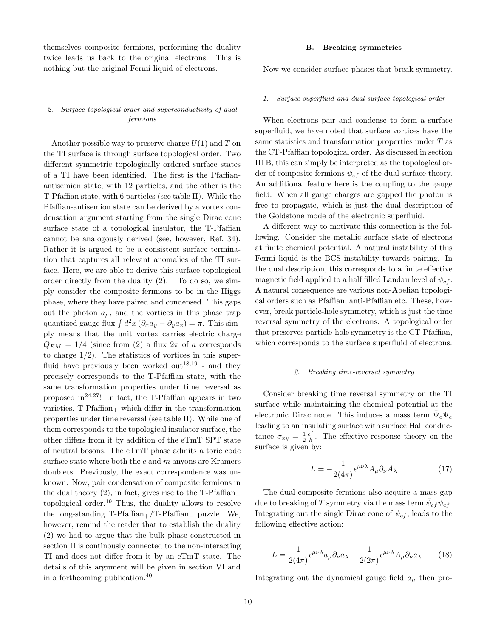themselves composite fermions, performing the duality twice leads us back to the original electrons. This is nothing but the original Fermi liquid of electrons.

# 2. Surface topological order and superconductivity of dual fermions

Another possible way to preserve charge  $U(1)$  and T on the TI surface is through surface topological order. Two different symmetric topologically ordered surface states of a TI have been identified. The first is the Pfaffianantisemion state, with 12 particles, and the other is the T-Pfaffian state, with 6 particles (see table II). While the Pfaffian-antisemion state can be derived by a vortex condensation argument starting from the single Dirac cone surface state of a topological insulator, the T-Pfaffian cannot be analogously derived (see, however, Ref. 34). Rather it is argued to be a consistent surface termination that captures all relevant anomalies of the TI surface. Here, we are able to derive this surface topological order directly from the duality (2). To do so, we simply consider the composite fermions to be in the Higgs phase, where they have paired and condensed. This gaps out the photon  $a_{\mu}$ , and the vortices in this phase trap quantized gauge flux  $\int d^2x (\partial_x a_y - \partial_y a_x) = \pi$ . This simply means that the unit vortex carries electric charge  $Q_{EM} = 1/4$  (since from (2) a flux  $2\pi$  of a corresponds to charge  $1/2$ ). The statistics of vortices in this superfluid have previously been worked out<sup>18,19</sup> - and they precisely corresponds to the T-Pfaffian state, with the same transformation properties under time reversal as proposed in<sup>24,27</sup>! In fact, the T-Pfaffian appears in two varieties,  $T-Pfaffian_+$  which differ in the transformation properties under time reversal (see table II). While one of them corresponds to the topological insulator surface, the other differs from it by addition of the eTmT SPT state of neutral bosons. The eTmT phase admits a toric code surface state where both the  $e$  and  $m$  anyons are Kramers doublets. Previously, the exact correspondence was unknown. Now, pair condensation of composite fermions in the dual theory (2), in fact, gives rise to the  $T-Pfaffian_+$ topological order.<sup>19</sup> Thus, the duality allows to resolve the long-standing  $T-Pfaffian_{+}/T-Pfaffian_{-}$  puzzle. We, however, remind the reader that to establish the duality (2) we had to argue that the bulk phase constructed in section II is continously connected to the non-interacting TI and does not differ from it by an eTmT state. The details of this argument will be given in section VI and in a forthcoming publication.<sup>40</sup>

Now we consider surface phases that break symmetry.

### 1. Surface superfluid and dual surface topological order

When electrons pair and condense to form a surface superfluid, we have noted that surface vortices have the same statistics and transformation properties under T as the CT-Pfaffian topological order. As discussed in section III B, this can simply be interpreted as the topological order of composite fermions  $\psi_{cf}$  of the dual surface theory. An additional feature here is the coupling to the gauge field. When all gauge charges are gapped the photon is free to propagate, which is just the dual description of the Goldstone mode of the electronic superfluid.

A different way to motivate this connection is the following. Consider the metallic surface state of electrons at finite chemical potential. A natural instability of this Fermi liquid is the BCS instability towards pairing. In the dual description, this corresponds to a finite effective magnetic field applied to a half filled Landau level of  $\psi_{cf}$ . A natural consequence are various non-Abelian topological orders such as Pfaffian, anti-Pfaffian etc. These, however, break particle-hole symmetry, which is just the time reversal symmetry of the electrons. A topological order that preserves particle-hole symmetry is the CT-Pfaffian, which corresponds to the surface superfluid of electrons.

### 2. Breaking time-reversal symmetry

Consider breaking time reversal symmetry on the TI surface while maintaining the chemical potential at the electronic Dirac node. This induces a mass term  $\bar{\Psi}_e \Psi_e$ leading to an insulating surface with surface Hall conductance  $\sigma_{xy} = \frac{1}{2} \frac{e^2}{h}$  $\frac{e^2}{h}$ . The effective response theory on the surface is given by:

$$
L = -\frac{1}{2(4\pi)} \epsilon^{\mu\nu\lambda} A_{\mu} \partial_{\nu} A_{\lambda}
$$
 (17)

The dual composite fermions also acquire a mass gap due to breaking of  $T$  symmetry via the mass term  $\bar{\psi}_{cf}\psi_{cf}$  . Integrating out the single Dirac cone of  $\psi_{cf}$ , leads to the following effective action:

$$
L = \frac{1}{2(4\pi)} \epsilon^{\mu\nu\lambda} a_{\mu} \partial_{\nu} a_{\lambda} - \frac{1}{2(2\pi)} \epsilon^{\mu\nu\lambda} A_{\mu} \partial_{\nu} a_{\lambda} \qquad (18)
$$

Integrating out the dynamical gauge field  $a_{\mu}$  then pro-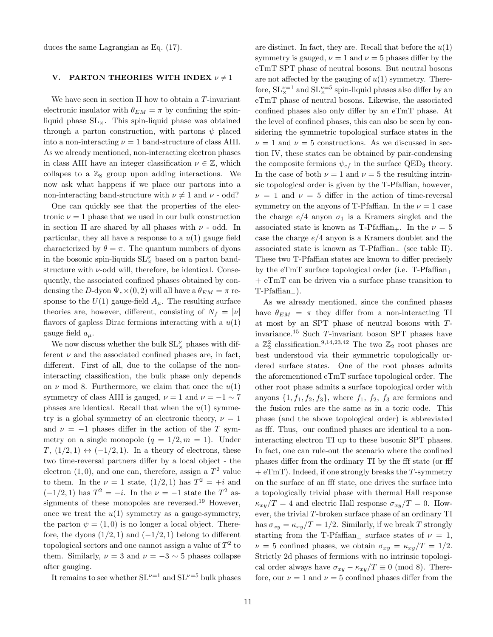duces the same Lagrangian as Eq. (17).

### V. PARTON THEORIES WITH INDEX  $\nu \neq 1$

We have seen in section II how to obtain a  $T$ -invariant electronic insulator with  $\theta_{EM} = \pi$  by confining the spinliquid phase  $SL_{\times}$ . This spin-liquid phase was obtained through a parton construction, with partons  $\psi$  placed into a non-interacting  $\nu = 1$  band-structure of class AIII. As we already mentioned, non-interacting electron phases in class AIII have an integer classification  $\nu \in \mathbb{Z}$ , which collapes to a  $\mathbb{Z}_8$  group upon adding interactions. We now ask what happens if we place our partons into a non-interacting band-structure with  $\nu \neq 1$  and  $\nu$  - odd?

One can quickly see that the properties of the electronic  $\nu = 1$  phase that we used in our bulk construction in section II are shared by all phases with  $\nu$  - odd. In particular, they all have a response to a  $u(1)$  gauge field characterized by  $\theta = \pi$ . The quantum numbers of dyons in the bosonic spin-liquids  $\mathrm{SL}_{\times}^{\nu}$  based on a parton bandstructure with  $\nu$ -odd will, therefore, be identical. Consequently, the associated confined phases obtained by condensing the D-dyon  $\Psi_e \times (0, 2)$  will all have a  $\theta_{EM} = \pi$  response to the  $U(1)$  gauge-field  $A_\mu$ . The resulting surface theories are, however, different, consisting of  $N_f = |\nu|$ flavors of gapless Dirac fermions interacting with a  $u(1)$ gauge field  $a_\mu$ .

We now discuss whether the bulk  $\operatorname{SL}\nolimits_\times^\nu$  phases with different  $\nu$  and the associated confined phases are, in fact, different. First of all, due to the collapse of the noninteracting classification, the bulk phase only depends on  $\nu$  mod 8. Furthermore, we claim that once the  $u(1)$ symmetry of class AIII is gauged,  $\nu = 1$  and  $\nu = -1 \sim 7$ phases are identical. Recall that when the  $u(1)$  symmetry is a global symmetry of an electronic theory,  $\nu = 1$ and  $\nu = -1$  phases differ in the action of the T symmetry on a single monopole  $(q = 1/2, m = 1)$ . Under  $T, (1/2, 1) \leftrightarrow (-1/2, 1)$ . In a theory of electrons, these two time-reversal partners differ by a local object - the electron  $(1,0)$ , and one can, therefore, assign a  $T^2$  value to them. In the  $\nu = 1$  state,  $(1/2, 1)$  has  $T^2 = +i$  and  $(-1/2, 1)$  has  $T^2 = -i$ . In the  $\nu = -1$  state the  $T^2$  assignments of these monopoles are reversed.<sup>19</sup> However, once we treat the  $u(1)$  symmetry as a gauge-symmetry, the parton  $\psi = (1, 0)$  is no longer a local object. Therefore, the dyons  $(1/2, 1)$  and  $(-1/2, 1)$  belong to different topological sectors and one cannot assign a value of  $T^2$  to them. Similarly,  $\nu = 3$  and  $\nu = -3 \sim 5$  phases collapse after gauging.

It remains to see whether  $SL^{\nu=1}$  and  $SL^{\nu=5}$  bulk phases

are distinct. In fact, they are. Recall that before the  $u(1)$ symmetry is gauged,  $\nu = 1$  and  $\nu = 5$  phases differ by the eTmT SPT phase of neutral bosons. But neutral bosons are not affected by the gauging of  $u(1)$  symmetry. Therefore,  $SL_{\times}^{\nu=1}$  and  $SL_{\times}^{\nu=5}$  spin-liquid phases also differ by an eTmT phase of neutral bosons. Likewise, the associated confined phases also only differ by an eTmT phase. At the level of confined phases, this can also be seen by considering the symmetric topological surface states in the  $\nu = 1$  and  $\nu = 5$  constructions. As we discussed in section IV, these states can be obtained by pair-condensing the composite fermions  $\psi_{cf}$  in the surface QED<sub>3</sub> theory. In the case of both  $\nu = 1$  and  $\nu = 5$  the resulting intrinsic topological order is given by the T-Pfaffian, however,  $\nu = 1$  and  $\nu = 5$  differ in the action of time-reversal symmetry on the anyons of T-Pfaffian. In the  $\nu = 1$  case the charge  $e/4$  anyon  $\sigma_1$  is a Kramers singlet and the associated state is known as T-Pfaffian<sub>+</sub>. In the  $\nu = 5$ case the charge  $e/4$  anyon is a Kramers doublet and the associated state is known as T-Pfaffian<sup>−</sup> (see table II). These two T-Pfaffian states are known to differ precisely by the eTmT surface topological order (i.e.  $T-Pfaffian_+$ + eTmT can be driven via a surface phase transition to T-Pfaffian−).

As we already mentioned, since the confined phases have  $\theta_{EM} = \pi$  they differ from a non-interacting TI at most by an SPT phase of neutral bosons with Tinvariance.<sup>15</sup> Such T-invariant boson SPT phases have a  $\mathbb{Z}_2^2$  classification.<sup>9,14,23,42</sup> The two  $\mathbb{Z}_2$  root phases are best understood via their symmetric topologically ordered surface states. One of the root phases admits the aforementioned eTmT surface topological order. The other root phase admits a surface topological order with anyons  $\{1, f_1, f_2, f_3\}$ , where  $f_1, f_2, f_3$  are fermions and the fusion rules are the same as in a toric code. This phase (and the above topological order) is abbreviated as fff. Thus, our confined phases are identical to a noninteracting electron TI up to these bosonic SPT phases. In fact, one can rule-out the scenario where the confined phases differ from the ordinary TI by the fff state (or fff  $+ eTmT$ ). Indeed, if one strongly breaks the T-symmetry on the surface of an fff state, one drives the surface into a topologically trivial phase with thermal Hall response  $\kappa_{xy}/T = 4$  and electric Hall response  $\sigma_{xy}/T = 0$ . However, the trivial T-broken surface phase of an ordinary TI has  $\sigma_{xy} = \kappa_{xy}/T = 1/2$ . Similarly, if we break T strongly starting from the T-Pfaffian $_{\pm}$  surface states of  $\nu = 1$ ,  $\nu = 5$  confined phases, we obtain  $\sigma_{xy} = \kappa_{xy}/T = 1/2$ . Strictly 2d phases of fermions with no intrinsic topological order always have  $\sigma_{xy} - \kappa_{xy}/T \equiv 0 \pmod{8}$ . Therefore, our  $\nu = 1$  and  $\nu = 5$  confined phases differ from the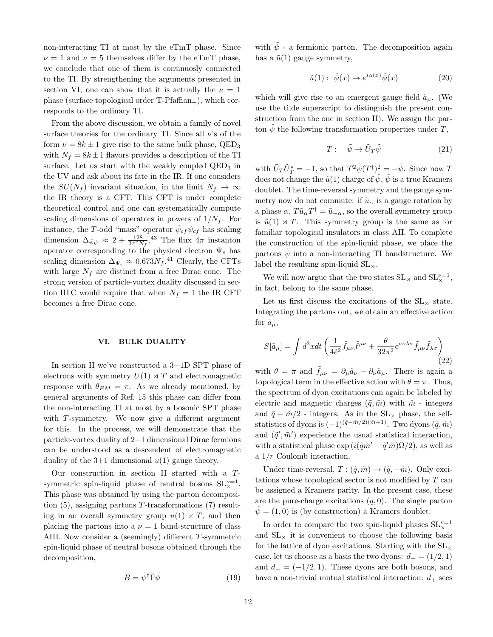non-interacting TI at most by the eTmT phase. Since  $\nu = 1$  and  $\nu = 5$  themselves differ by the eTmT phase, we conclude that one of them is continuosly connected to the TI. By strengthening the arguments presented in section VI, one can show that it is actually the  $\nu = 1$ phase (surface topological order  $T-Pfaffian_+$ ), which corresponds to the ordinary TI.

From the above discussion, we obtain a family of novel surface theories for the ordinary TI. Since all  $\nu$ 's of the form  $\nu = 8k \pm 1$  give rise to the same bulk phase, QED<sub>3</sub> with  $N_f = 8k \pm 1$  flavors provides a description of the TI surface. Let us start with the weakly coupled  $QED<sub>3</sub>$  in the UV and ask about its fate in the IR. If one considers the  $SU(N_f)$  invariant situation, in the limit  $N_f \rightarrow \infty$ the IR theory is a CFT. This CFT is under complete theoretical control and one can systematically compute scaling dimensions of operators in powers of  $1/N_f$ . For instance, the T-odd "mass" operator  $\bar{\psi}_{cf}\psi_{cf}$  has scaling dimension  $\Delta_{\bar{\psi}\psi} \approx 2 + \frac{128}{3\pi^2 N_f}$ .<sup>43</sup> The flux  $4\pi$  instanton operator corresponding to the physical electron  $\Psi_e$  has scaling dimension  $\Delta_{\Psi_e} \approx 0.673 N_f$ .<sup>41</sup> Clearly, the CFTs with large  $N_f$  are distinct from a free Dirac cone. The strong version of particle-vortex duality discussed in section III C would require that when  $N_f = 1$  the IR CFT becomes a free Dirac cone.

### VI. BULK DUALITY

In section II we've constructed a 3+1D SPT phase of electrons with symmetry  $U(1) \rtimes T$  and electromagnetic response with  $\theta_{EM} = \pi$ . As we already mentioned, by general arguments of Ref. 15 this phase can differ from the non-interacting TI at most by a bosonic SPT phase with T-symmetry. We now give a different argument for this. In the process, we will demonstrate that the particle-vortex duality of 2+1 dimensional Dirac fermions can be understood as a descendent of electromagnetic duality of the  $3+1$  dimensional  $u(1)$  gauge theory.

Our construction in section II started with a Tsymmetric spin-liquid phase of neutral bosons  $SL_{\times}^{\nu=1}$ . This phase was obtained by using the parton decomposition  $(5)$ , assigning partons T-transformations  $(7)$  resulting in an overall symmetry group  $u(1) \times T$ , and then placing the partons into a  $\nu = 1$  band-structure of class AIII. Now consider a (seemingly) different T-symmetric spin-liquid phase of neutral bosons obtained through the decomposition,

$$
B = \tilde{\psi}^{\dagger} \tilde{\Gamma} \tilde{\psi} \tag{19}
$$

with  $\tilde{\psi}$  - a fermionic parton. The decomposition again has a  $\tilde{u}(1)$  gauge symmetry,

$$
\tilde{u}(1): \ \tilde{\psi}(x) \to e^{i\alpha(x)}\tilde{\psi}(x) \tag{20}
$$

which will give rise to an emergent gauge field  $\tilde{a}_{\mu}$ . (We use the tilde superscript to distinguish the present construction from the one in section II). We assign the parton  $\psi$  the following transformation properties under T,

$$
T: \quad \tilde{\psi} \to \tilde{U}_T \tilde{\psi} \tag{21}
$$

with  $\tilde{U}_T \tilde{U}_T^* = -1$ , so that  $T^2 \tilde{\psi}(T^{\dagger})^2 = -\tilde{\psi}$ . Since now T does not change the  $\tilde{u}(1)$  charge of  $\tilde{\psi}$ ,  $\tilde{\psi}$  is a true Kramers doublet. The time-reversal symmetry and the gauge symmetry now do not commute: if  $\tilde{u}_{\alpha}$  is a gauge rotation by a phase  $\alpha$ ,  $T\tilde{u}_{\alpha}T^{\dagger} = \tilde{u}_{-\alpha}$ , so the overall symmetry group is  $\tilde{u}(1) \rtimes T$ . This symmetry group is the same as for familiar topological insulators in class AII. To complete the construction of the spin-liquid phase, we place the partons  $\tilde{\psi}$  into a non-interacting TI bandstructure. We label the resulting spin-liquid  $SL_{\times}$ .

We will now argue that the two states  $SL_{\times}$  and  $SL_{\times}^{\nu=1}$ , in fact, belong to the same phase.

Let us first discuss the excitations of the  $SL_{\mathfrak{A}}$  state. Integrating the partons out, we obtain an effective action for  $\tilde{a}_{\mu}$ ,

$$
S[\tilde{a}_{\mu}] = \int d^3x dt \left( \frac{1}{4\tilde{\epsilon}^2} \tilde{f}_{\mu\nu} \tilde{f}^{\mu\nu} + \frac{\theta}{32\pi^2} \epsilon^{\mu\nu\lambda\sigma} \tilde{f}_{\mu\nu} \tilde{f}_{\lambda\sigma} \right) \tag{22}
$$

with  $\theta = \pi$  and  $f_{\mu\nu} = \partial_{\mu}\tilde{a}_{\nu} - \partial_{\nu}\tilde{a}_{\mu}$ . There is again a topological term in the effective action with  $\theta = \pi$ . Thus, the spectrum of dyon excitations can again be labeled by electric and magnetic charges  $(\tilde{q}, \tilde{m})$  with  $\tilde{m}$  - integers and  $\tilde{q} - \tilde{m}/2$  - integers. As in the SL<sub>×</sub> phase, the selfstatistics of dyons is  $(-1)^{(\tilde{q}-\tilde{m}/2)(\tilde{m}+1)}$ . Two dyons  $(\tilde{q}, \tilde{m})$ and  $(\tilde{q}', \tilde{m}')$  experience the usual statistical interaction, with a statistical phase  $\exp(i(\tilde{q}\tilde{m}' - \tilde{q}'\tilde{m})\Omega/2)$ , as well as a 1/r Coulomb interaction.

Under time-reversal,  $T : (\tilde{q}, \tilde{m}) \to (\tilde{q}, -\tilde{m})$ . Only excitations whose topological sector is not modified by T can be assigned a Kramers parity. In the present case, these are the pure-charge excitations  $(q, 0)$ . The single parton  $\psi = (1, 0)$  is (by construction) a Kramers doublet.

In order to compare the two spin-liquid phases  $\mathrm{SL}^{\nu=1}_\times$ and  $SL_{\mathfrak{A}}$  it is convenient to choose the following basis for the lattice of dyon excitations. Starting with the  $SL_{\times}$ case, let us choose as a basis the two dyons:  $d_{+} = (1/2, 1)$ and  $d_- = (-1/2, 1)$ . These dyons are both bosons, and have a non-trivial mutual statistical interaction:  $d_+$  sees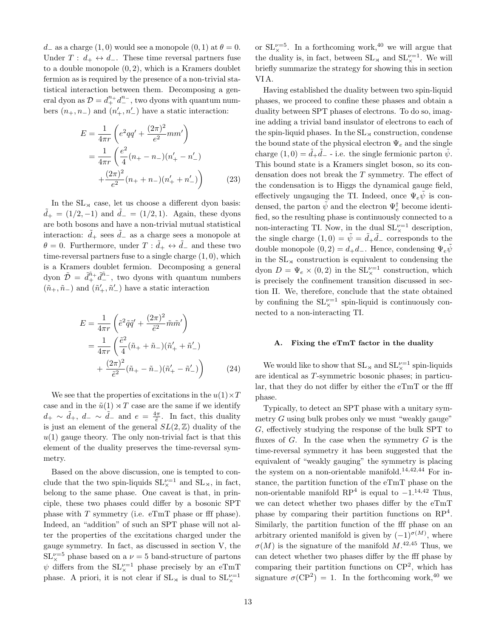$d_{-}$  as a charge  $(1,0)$  would see a monopole  $(0,1)$  at  $\theta = 0$ . Under  $T: d_+ \leftrightarrow d_-.$  These time reversal partners fuse to a double monopole  $(0, 2)$ , which is a Kramers doublet fermion as is required by the presence of a non-trivial statistical interaction between them. Decomposing a general dyon as  $\mathcal{D} = d_+^{n_+} d_-^{n_-}$ , two dyons with quantum numbers  $(n_+, n_-)$  and  $(n'_+, n'_-)$  have a static interaction:

$$
E = \frac{1}{4\pi r} \left( e^2 qq' + \frac{(2\pi)^2}{e^2} mm'\right)
$$
  
= 
$$
\frac{1}{4\pi r} \left( \frac{e^2}{4} (n_+ - n_-)(n'_+ - n'_-)
$$
  
+ 
$$
\frac{(2\pi)^2}{e^2} (n_+ + n_-)(n'_+ + n'_-)\right)
$$
(23)

In the  $SL_{\mathcal{A}}$  case, let us choose a different dyon basis:  $d_{+} = (1/2, -1)$  and  $d_{-} = (1/2, 1)$ . Again, these dyons are both bosons and have a non-trivial mutual statistical interaction:  $\tilde{d}_+$  sees  $\tilde{d}_-$  as a charge sees a monopole at  $\theta = 0$ . Furthermore, under  $T : \tilde{d}_+ \leftrightarrow \tilde{d}_-$  and these two time-reversal partners fuse to a single charge  $(1, 0)$ , which is a Kramers doublet fermion. Decomposing a general dyon  $\tilde{\mathcal{D}} = \tilde{d}_+^{\tilde{n}_+} \tilde{d}_-^{\tilde{n}_-}$ , two dyons with quantum numbers  $(\tilde{n}_+,\tilde{n}_-)$  and  $(\tilde{n}'_+,\tilde{n}'_-)$  have a static interaction

$$
E = \frac{1}{4\pi r} \left( \tilde{e}^2 \tilde{q} \tilde{q}' + \frac{(2\pi)^2}{\tilde{e}^2} \tilde{m} \tilde{m}' \right)
$$
  
= 
$$
\frac{1}{4\pi r} \left( \frac{\tilde{e}^2}{4} (\tilde{n}_+ + \tilde{n}_-) (\tilde{n}'_+ + \tilde{n}'_-) + \frac{(2\pi)^2}{\tilde{e}^2} (\tilde{n}_+ - \tilde{n}_-) (\tilde{n}'_+ - \tilde{n}'_-) \right)
$$
(24)

We see that the properties of excitations in the  $u(1) \times T$ case and in the  $\tilde{u}(1) \rtimes T$  case are the same if we identify  $d_+ \sim \tilde{d}_+$ ,  $d_- \sim \tilde{d}_-$  and  $e = \frac{4\pi}{\tilde{e}}$ . In fact, this duality is just an element of the general  $SL(2, \mathbb{Z})$  duality of the  $u(1)$  gauge theory. The only non-trivial fact is that this element of the duality preserves the time-reversal symmetry.

Based on the above discussion, one is tempted to conclude that the two spin-liquids  $SL_{\times}^{\nu=1}$  and  $SL_{\times}$ , in fact, belong to the same phase. One caveat is that, in principle, these two phases could differ by a bosonic SPT phase with T symmetry (i.e. eTmT phase or fff phase). Indeed, an "addition" of such an SPT phase will not alter the properties of the excitations charged under the gauge symmetry. In fact, as discussed in section V, the  $SL_{\times}^{\nu=5}$  phase based on a  $\nu=5$  band-structure of partons  $\psi$  differs from the  $SL_{\times}^{\nu=1}$  phase precisely by an eTmT phase. A priori, it is not clear if  $SL_{\times}$  is dual to  $SL_{\times}^{\nu=1}$ 

or  $SL_{\times}^{\nu=5}$ . In a forthcoming work,<sup>40</sup> we will argue that the duality is, in fact, between  $SL_{\times}$  and  $SL_{\times}^{\nu=1}$ . We will briefly summarize the strategy for showing this in section VI A.

Having established the duality between two spin-liquid phases, we proceed to confine these phases and obtain a duality between SPT phases of electrons. To do so, imagine adding a trivial band insulator of electrons to each of the spin-liquid phases. In the  $SL_{\mathcal{A}}$  construction, condense the bound state of the physical electron  $\Psi_e$  and the single charge  $(1,0) = \tilde{d}_+\tilde{d}_-$  - i.e. the single fermionic parton  $\tilde{\psi}$ . This bound state is a Kramers singlet boson, so its condensation does not break the T symmetry. The effect of the condensation is to Higgs the dynamical gauge field, effectively ungauging the TI. Indeed, once  $\Psi_e \psi$  is condensed, the parton  $\tilde{\psi}$  and the electron  $\Psi_e^{\dagger}$  become identified, so the resulting phase is continuously connected to a non-interacting TI. Now, in the dual  $SL_{\times}^{\nu=1}$  description, the single charge  $(1,0) = \tilde{\psi} = \tilde{d}_+ \tilde{d}_-$  corresponds to the double monopole  $(0, 2) = d_+d_-$ . Hence, condensing  $\Psi_e \tilde{\psi}$ in the  $SL_{\mathfrak{A}}$  construction is equivalent to condensing the dyon  $D = \Psi_e \times (0, 2)$  in the  $SL_{\times}^{\nu=1}$  construction, which is precisely the confinement transition discussed in section II. We, therefore, conclude that the state obtained by confining the  $SL_{\times}^{\nu=1}$  spin-liquid is continuously connected to a non-interacting TI.

### A. Fixing the eTmT factor in the duality

We would like to show that  $SL_{\times}$  and  $SL_{\times}^{\nu=1}$  spin-liquids are identical as T-symmetric bosonic phases; in particular, that they do not differ by either the eTmT or the fff phase.

Typically, to detect an SPT phase with a unitary symmetry G using bulk probes only we must "weakly gauge" G, effectively studying the response of the bulk SPT to fluxes of  $G$ . In the case when the symmetry  $G$  is the time-reversal symmetry it has been suggested that the equivalent of "weakly gauging" the symmetry is placing the system on a non-orientable manifold.<sup>14,42,44</sup> For instance, the partition function of the eTmT phase on the non-orientable manifold  $RP^4$  is equal to  $-1.^{14,42}$  Thus, we can detect whether two phases differ by the eTmT phase by comparing their partition functions on  $RP<sup>4</sup>$ . Similarly, the partition function of the fff phase on an arbitrary oriented manifold is given by  $(-1)^{\sigma(M)}$ , where  $\sigma(M)$  is the signature of the manifold  $M$ .<sup>42,45</sup> Thus, we can detect whether two phases differ by the fff phase by comparing their partition functions on CP<sup>2</sup> , which has signature  $\sigma(\text{CP}^2) = 1$ . In the forthcoming work,<sup>40</sup> we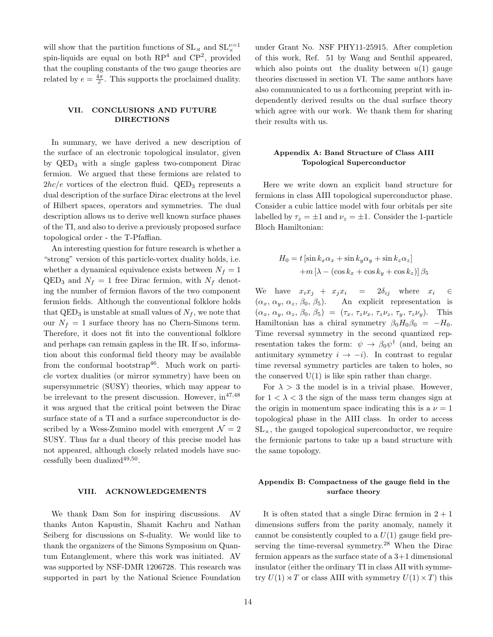will show that the partition functions of  $\text{SL}_{\times}$  and  $\text{SL}_{\times}^{\nu=1}$ spin-liquids are equal on both  $RP<sup>4</sup>$  and  $CP<sup>2</sup>$ , provided that the coupling constants of the two gauge theories are related by  $e = \frac{4\pi}{\tilde{e}}$ . This supports the proclaimed duality.

# VII. CONCLUSIONS AND FUTURE DIRECTIONS

In summary, we have derived a new description of the surface of an electronic topological insulator, given by QED<sup>3</sup> with a single gapless two-component Dirac fermion. We argued that these fermions are related to  $2hc/e$  vortices of the electron fluid. QED<sub>3</sub> represents a dual description of the surface Dirac electrons at the level of Hilbert spaces, operators and symmetries. The dual description allows us to derive well known surface phases of the TI, and also to derive a previously proposed surface topological order - the T-Pfaffian.

An interesting question for future research is whether a "strong" version of this particle-vortex duality holds, i.e. whether a dynamical equivalence exists between  $N_f = 1$  $\text{QED}_3$  and  $N_f = 1$  free Dirac fermion, with  $N_f$  denoting the number of fermion flavors of the two component fermion fields. Although the conventional folklore holds that  $QED_3$  is unstable at small values of  $N_f$ , we note that our  $N_f = 1$  surface theory has no Chern-Simons term. Therefore, it does not fit into the conventional folklore and perhaps can remain gapless in the IR. If so, information about this conformal field theory may be available from the conformal bootstrap<sup>46</sup>. Much work on particle vortex dualities (or mirror symmetry) have been on supersymmetric (SUSY) theories, which may appear to be irrelevant to the present discussion. However,  $\text{in}^{47,48}$ it was argued that the critical point between the Dirac surface state of a TI and a surface superconductor is described by a Wess-Zumino model with emergent  $\mathcal{N} = 2$ SUSY. Thus far a dual theory of this precise model has not appeared, although closely related models have successfully been dualized<sup>49,50</sup>.

### VIII. ACKNOWLEDGEMENTS

We thank Dam Son for inspiring discussions. AV thanks Anton Kapustin, Shamit Kachru and Nathan Seiberg for discussions on S-duality. We would like to thank the organizers of the Simons Symposium on Quantum Entanglement, where this work was initiated. AV was supported by NSF-DMR 1206728. This research was supported in part by the National Science Foundation

under Grant No. NSF PHY11-25915. After completion of this work, Ref. 51 by Wang and Senthil appeared, which also points out the duality between  $u(1)$  gauge theories discussed in section VI. The same authors have also communicated to us a forthcoming preprint with independently derived results on the dual surface theory which agree with our work. We thank them for sharing their results with us.

# Appendix A: Band Structure of Class AIII Topological Superconductor

Here we write down an explicit band structure for fermions in class AIII topological superconductor phase. Consider a cubic lattice model with four orbitals per site labelled by  $\tau_z = \pm 1$  and  $\nu_z = \pm 1$ . Consider the 1-particle Bloch Hamiltonian:

$$
H_0 = t \left[ \sin k_x \alpha_x + \sin k_y \alpha_y + \sin k_z \alpha_z \right]
$$

$$
+ m \left[ \lambda - (\cos k_x + \cos k_y + \cos k_z) \right] \beta_5
$$

We have  $x_i x_j + x_j x_i = 2\delta_{ij}$  where  $x_i \in$  $(\alpha_x, \alpha_y, \alpha_z, \beta_0, \beta_5)$ . An explicit representation is  $(\alpha_x, \alpha_y, \alpha_z, \beta_0, \beta_5) = (\tau_x, \tau_z \nu_x, \tau_z \nu_z, \tau_y, \tau_z \nu_y).$  This Hamiltonian has a chiral symmetry  $\beta_0 H_0 \beta_0 = -H_0$ . Time reversal symmetry in the second quantized representation takes the form:  $\psi \to \beta_0 \psi^{\dagger}$  (and, being an antiunitary symmetry  $i \rightarrow -i$ ). In contrast to regular time reversal symmetry particles are taken to holes, so the conserved  $U(1)$  is like spin rather than charge.

For  $\lambda > 3$  the model is in a trivial phase. However, for  $1 < \lambda < 3$  the sign of the mass term changes sign at the origin in momentum space indicating this is a  $\nu = 1$ topological phase in the AIII class. In order to access  $SL_{\times}$ , the gauged topological superconductor, we require the fermionic partons to take up a band structure with the same topology.

# Appendix B: Compactness of the gauge field in the surface theory

It is often stated that a single Dirac fermion in  $2 + 1$ dimensions suffers from the parity anomaly, namely it cannot be consistently coupled to a  $U(1)$  gauge field preserving the time-reversal symmetry.<sup>28</sup> When the Dirac fermion appears as the surface state of a 3+1 dimensional insulator (either the ordinary TI in class AII with symmetry  $U(1) \rtimes T$  or class AIII with symmetry  $U(1) \times T$ ) this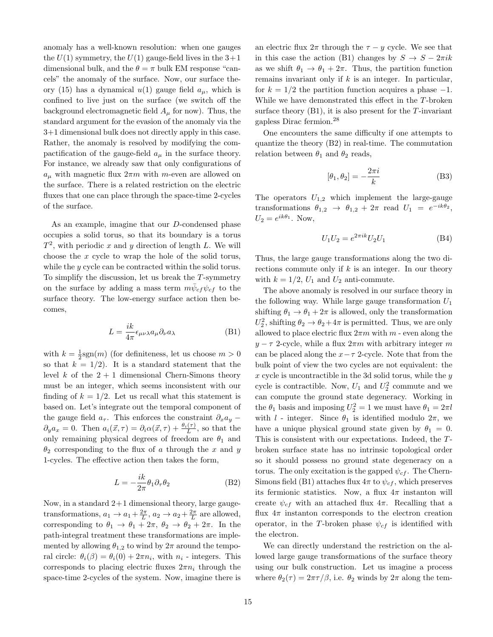anomaly has a well-known resolution: when one gauges the  $U(1)$  symmetry, the  $U(1)$  gauge-field lives in the  $3+1$ dimensional bulk, and the  $\theta = \pi$  bulk EM response "cancels" the anomaly of the surface. Now, our surface theory (15) has a dynamical  $u(1)$  gauge field  $a_{\mu}$ , which is confined to live just on the surface (we switch off the background electromagnetic field  $A<sub>u</sub>$  for now). Thus, the standard argument for the evasion of the anomaly via the 3+1 dimensional bulk does not directly apply in this case. Rather, the anomaly is resolved by modifying the compactification of the gauge-field  $a_{\mu}$  in the surface theory. For instance, we already saw that only configurations of  $a_{\mu}$  with magnetic flux  $2\pi m$  with m-even are allowed on the surface. There is a related restriction on the electric fluxes that one can place through the space-time 2-cycles of the surface.

As an example, imagine that our D-condensed phase occupies a solid torus, so that its boundary is a torus  $T^2$ , with periodic x and y direction of length L. We will choose the x cycle to wrap the hole of the solid torus, while the *y* cycle can be contracted within the solid torus. To simplify the discussion, let us break the  $T$ -symmetry on the surface by adding a mass term  $m\bar{\psi}_{cf}\psi_{cf}$  to the surface theory. The low-energy surface action then becomes,

$$
L = \frac{ik}{4\pi} \epsilon_{\mu\nu\lambda} a_{\mu} \partial_{\nu} a_{\lambda}
$$
 (B1)

with  $k = \frac{1}{2}$ sgn(*m*) (for definiteness, let us choose  $m > 0$ so that  $k = 1/2$ . It is a standard statement that the level k of the  $2 + 1$  dimensional Chern-Simons theory must be an integer, which seems inconsistent with our finding of  $k = 1/2$ . Let us recall what this statement is based on. Let's integrate out the temporal component of the gauge field  $a_{\tau}$ . This enforces the constraint  $\partial_x a_{\nu}$  –  $\partial_y a_x = 0$ . Then  $a_i(\vec{x}, \tau) = \partial_i \alpha(\vec{x}, \tau) + \frac{\theta_i(\tau)}{L}$ , so that the only remaining physical degrees of freedom are  $\theta_1$  and  $\theta_2$  corresponding to the flux of a through the x and y 1-cycles. The effective action then takes the form,

$$
L = -\frac{ik}{2\pi}\theta_1 \partial_\tau \theta_2
$$
 (B2)

Now, in a standard  $2+1$  dimensional theory, large gaugetransformations,  $a_1 \to a_1 + \frac{2\pi}{L}$ ,  $a_2 \to a_2 + \frac{2\pi}{L}$  are allowed, corresponding to  $\theta_1 \rightarrow \theta_1 + 2\pi$ ,  $\theta_2 \rightarrow \theta_2 + 2\pi$ . In the path-integral treatment these transformations are implemented by allowing  $\theta_{1,2}$  to wind by  $2\pi$  around the temporal circle:  $\theta_i(\beta) = \theta_i(0) + 2\pi n_i$ , with  $n_i$  - integers. This corresponds to placing electric fluxes  $2\pi n_i$  through the space-time 2-cycles of the system. Now, imagine there is

an electric flux  $2\pi$  through the  $\tau - y$  cycle. We see that in this case the action (B1) changes by  $S \to S - 2\pi i k$ as we shift  $\theta_1 \rightarrow \theta_1 + 2\pi$ . Thus, the partition function remains invariant only if  $k$  is an integer. In particular, for  $k = 1/2$  the partition function acquires a phase  $-1$ . While we have demonstrated this effect in the T-broken surface theory  $(B1)$ , it is also present for the T-invariant gapless Dirac fermion.<sup>28</sup>

One encounters the same difficulty if one attempts to quantize the theory (B2) in real-time. The commutation relation between  $\theta_1$  and  $\theta_2$  reads,

$$
[\theta_1, \theta_2] = -\frac{2\pi i}{k} \tag{B3}
$$

The operators  $U_{1,2}$  which implement the large-gauge transformations  $\theta_{1,2} \rightarrow \theta_{1,2} + 2\pi \text{ read } U_1 = e^{-ik\theta_2}$ ,  $U_2=e^{ik\theta_1}$ . Now,

$$
U_1 U_2 = e^{2\pi i k} U_2 U_1
$$
 (B4)

Thus, the large gauge transformations along the two directions commute only if  $k$  is an integer. In our theory with  $k = 1/2$ ,  $U_1$  and  $U_2$  anti-commute.

The above anomaly is resolved in our surface theory in the following way. While large gauge transformation  $U_1$ shifting  $\theta_1 \rightarrow \theta_1 + 2\pi$  is allowed, only the transformation  $U_2^2$ , shifting  $\theta_2 \to \theta_2 + 4\pi$  is permitted. Thus, we are only allowed to place electric flux  $2\pi m$  with m - even along the  $y - \tau$  2-cycle, while a flux  $2\pi m$  with arbitrary integer m can be placed along the  $x-\tau$  2-cycle. Note that from the bulk point of view the two cycles are not equivalent: the  $x$  cycle is uncontractible in the 3d solid torus, while the  $y$ cycle is contractible. Now,  $U_1$  and  $U_2^2$  commute and we can compute the ground state degeneracy. Working in the  $\theta_1$  basis and imposing  $U_2^2 = 1$  we must have  $\theta_1 = 2\pi l$ with l - integer. Since  $\theta_1$  is identified modulo  $2\pi$ , we have a unique physical ground state given by  $\theta_1 = 0$ . This is consistent with our expectations. Indeed, the Tbroken surface state has no intrinsic topological order so it should possess no ground state degeneracy on a torus. The only excitation is the gapped  $\psi_{cf}$ . The Chern-Simons field (B1) attaches flux  $4\pi$  to  $\psi_{cf}$ , which preserves its fermionic statistics. Now, a flux  $4\pi$  instanton will create  $\psi_{cf}$  with an attached flux  $4\pi$ . Recalling that a flux  $4\pi$  instanton corresponds to the electron creation operator, in the T-broken phase  $\psi_{cf}$  is identified with the electron.

We can directly understand the restriction on the allowed large gauge transformations of the surface theory using our bulk construction. Let us imagine a process where  $\theta_2(\tau) = 2\pi\tau/\beta$ , i.e.  $\theta_2$  winds by  $2\pi$  along the tem-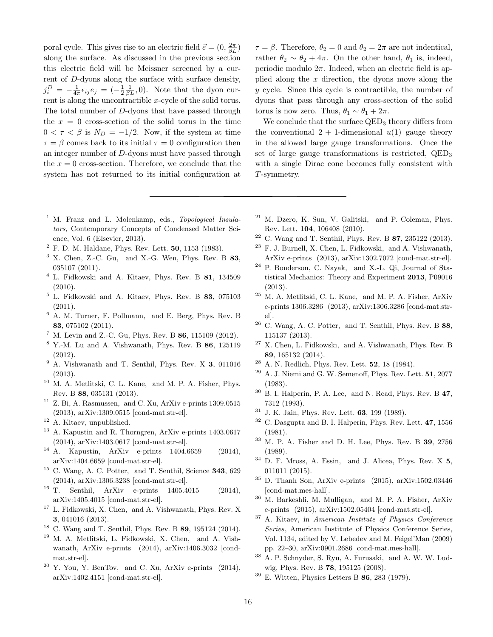poral cycle. This gives rise to an electric field  $\vec{e} = (0, \frac{2\pi}{\beta L})$ along the surface. As discussed in the previous section this electric field will be Meissner screened by a current of D-dyons along the surface with surface density,  $j_i^D = -\frac{1}{4\pi} \epsilon_{ij} e_j = (-\frac{1}{2} \frac{1}{\beta L}, 0)$ . Note that the dyon current is along the uncontractible x-cycle of the solid torus. The total number of D-dyons that have passed through the  $x = 0$  cross-section of the solid torus in the time  $0 < \tau < \beta$  is  $N_D = -1/2$ . Now, if the system at time  $\tau = \beta$  comes back to its initial  $\tau = 0$  configuration then an integer number of D-dyons must have passed through the  $x = 0$  cross-section. Therefore, we conclude that the system has not returned to its initial configuration at

- <sup>1</sup> M. Franz and L. Molenkamp, eds., Topological Insulators, Contemporary Concepts of Condensed Matter Science, Vol. 6 (Elsevier, 2013).
- $2$  F. D. M. Haldane, Phys. Rev. Lett. 50, 1153 (1983).
- $3$  X. Chen, Z.-C. Gu, and X.-G. Wen, Phys. Rev. B  $83$ , 035107 (2011).
- $4$  L. Fidkowski and A. Kitaev, Phys. Rev. B 81, 134509 (2010).
- <sup>5</sup> L. Fidkowski and A. Kitaev, Phys. Rev. B 83, 075103 (2011).
- <sup>6</sup> A. M. Turner, F. Pollmann, and E. Berg, Phys. Rev. B 83, 075102 (2011).
- $^7$  M. Levin and Z.-C. Gu, Phys. Rev. B 86, 115109 (2012).
- <sup>8</sup> Y.-M. Lu and A. Vishwanath, Phys. Rev. B 86, 125119 (2012).
- <sup>9</sup> A. Vishwanath and T. Senthil, Phys. Rev. X 3, 011016 (2013).
- <sup>10</sup> M. A. Metlitski, C. L. Kane, and M. P. A. Fisher, Phys. Rev. B 88, 035131 (2013).
- $11$  Z. Bi, A. Rasmussen, and C. Xu, ArXiv e-prints 1309.0515 (2013), arXiv:1309.0515 [cond-mat.str-el].
- <sup>12</sup> A. Kitaev, unpublished.
- <sup>13</sup> A. Kapustin and R. Thorngren, ArXiv e-prints 1403.0617 (2014), arXiv:1403.0617 [cond-mat.str-el].
- <sup>14</sup> A. Kapustin, ArXiv e-prints 1404.6659 (2014), arXiv:1404.6659 [cond-mat.str-el].
- <sup>15</sup> C. Wang, A. C. Potter, and T. Senthil, Science **343**, 629
- (2014), arXiv:1306.3238 [cond-mat.str-el].<br><sup>16</sup> T Senthil. ArXiv e-prints 1405.4 Senthil, ArXiv e-prints 1405.4015 (2014), arXiv:1405.4015 [cond-mat.str-el].
- <sup>17</sup> L. Fidkowski, X. Chen, and A. Vishwanath, Phys. Rev. X 3, 041016 (2013).
- <sup>18</sup> C. Wang and T. Senthil, Phys. Rev. B 89, 195124 (2014).
- <sup>19</sup> M. A. Metlitski, L. Fidkowski, X. Chen, and A. Vishwanath, ArXiv e-prints (2014), arXiv:1406.3032 [condmat.str-el].
- $20$  Y. You, Y. BenTov, and C. Xu, ArXiv e-prints (2014), arXiv:1402.4151 [cond-mat.str-el].

 $\tau = \beta$ . Therefore,  $\theta_2 = 0$  and  $\theta_2 = 2\pi$  are not indentical, rather  $\theta_2 \sim \theta_2 + 4\pi$ . On the other hand,  $\theta_1$  is, indeed, periodic modulo  $2\pi$ . Indeed, when an electric field is applied along the  $x$  direction, the dyons move along the y cycle. Since this cycle is contractible, the number of dyons that pass through any cross-section of the solid torus is now zero. Thus,  $\theta_1 \sim \theta_1 + 2\pi$ .

We conclude that the surface  $QED_3$  theory differs from the conventional  $2 + 1$ -dimensional  $u(1)$  gauge theory in the allowed large gauge transformations. Once the set of large gauge transformations is restricted,  $QED_3$ with a single Dirac cone becomes fully consistent with T-symmetry.

- <sup>21</sup> M. Dzero, K. Sun, V. Galitski, and P. Coleman, Phys. Rev. Lett. 104, 106408 (2010).
- $22$  C. Wang and T. Senthil, Phys. Rev. B 87, 235122 (2013).
- <sup>23</sup> F. J. Burnell, X. Chen, L. Fidkowski, and A. Vishwanath, ArXiv e-prints (2013), arXiv:1302.7072 [cond-mat.str-el].
- <sup>24</sup> P. Bonderson, C. Nayak, and X.-L. Qi, Journal of Statistical Mechanics: Theory and Experiment 2013, P09016 (2013).
- <sup>25</sup> M. A. Metlitski, C. L. Kane, and M. P. A. Fisher, ArXiv e-prints 1306.3286 (2013), arXiv:1306.3286 [cond-mat.strel].
- $^{26}$  C. Wang, A. C. Potter, and T. Senthil, Phys. Rev. B  $88,$ 115137 (2013).
- <sup>27</sup> X. Chen, L. Fidkowski, and A. Vishwanath, Phys. Rev. B 89, 165132 (2014).
- A. N. Redlich, Phys. Rev. Lett. **52**, 18 (1984).
- $29$  A. J. Niemi and G. W. Semenoff, Phys. Rev. Lett.  $51, 2077$ (1983).
- $30\,$  B. I. Halperin, P. A. Lee, and N. Read, Phys. Rev. B 47, 7312 (1993).
- $31$  J. K. Jain, Phys. Rev. Lett. **63**, 199 (1989).
- <sup>32</sup> C. Dasgupta and B. I. Halperin, Phys. Rev. Lett. 47, 1556 (1981).
- <sup>33</sup> M. P. A. Fisher and D. H. Lee, Phys. Rev. B 39, 2756 (1989).
- <sup>34</sup> D. F. Mross, A. Essin, and J. Alicea, Phys. Rev. X 5, 011011 (2015).
- <sup>35</sup> D. Thanh Son, ArXiv e-prints (2015), arXiv:1502.03446 [cond-mat.mes-hall].
- <sup>36</sup> M. Barkeshli, M. Mulligan, and M. P. A. Fisher, ArXiv e-prints (2015), arXiv:1502.05404 [cond-mat.str-el].
- <sup>37</sup> A. Kitaev, in American Institute of Physics Conference Series, American Institute of Physics Conference Series, Vol. 1134, edited by V. Lebedev and M. Feigel'Man (2009) pp. 22–30, arXiv:0901.2686 [cond-mat.mes-hall].
- <sup>38</sup> A. P. Schnyder, S. Ryu, A. Furusaki, and A. W. W. Ludwig, Phys. Rev. B 78, 195125 (2008).
- $39$  E. Witten, Physics Letters B 86, 283 (1979).